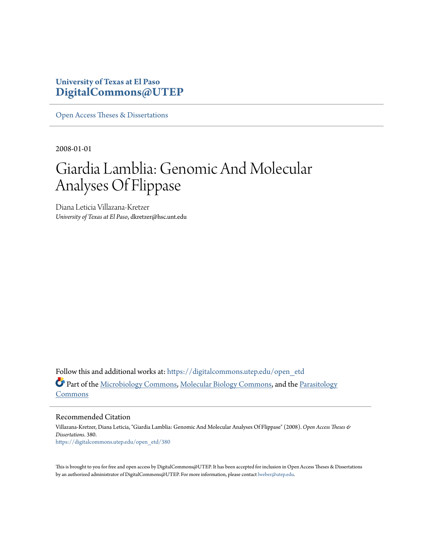# **University of Texas at El Paso [DigitalCommons@UTEP](https://digitalcommons.utep.edu/?utm_source=digitalcommons.utep.edu%2Fopen_etd%2F380&utm_medium=PDF&utm_campaign=PDFCoverPages)**

[Open Access Theses & Dissertations](https://digitalcommons.utep.edu/open_etd?utm_source=digitalcommons.utep.edu%2Fopen_etd%2F380&utm_medium=PDF&utm_campaign=PDFCoverPages)

2008-01-01

# Giardia Lamblia: Genomic And Molecular Analyses Of Flippase

Diana Leticia Villazana-Kretzer *University of Texas at El Paso*, dkretzer@hsc.unt.edu

Follow this and additional works at: [https://digitalcommons.utep.edu/open\\_etd](https://digitalcommons.utep.edu/open_etd?utm_source=digitalcommons.utep.edu%2Fopen_etd%2F380&utm_medium=PDF&utm_campaign=PDFCoverPages) Part of the [Microbiology Commons](http://network.bepress.com/hgg/discipline/48?utm_source=digitalcommons.utep.edu%2Fopen_etd%2F380&utm_medium=PDF&utm_campaign=PDFCoverPages), [Molecular Biology Commons](http://network.bepress.com/hgg/discipline/5?utm_source=digitalcommons.utep.edu%2Fopen_etd%2F380&utm_medium=PDF&utm_campaign=PDFCoverPages), and the [Parasitology](http://network.bepress.com/hgg/discipline/39?utm_source=digitalcommons.utep.edu%2Fopen_etd%2F380&utm_medium=PDF&utm_campaign=PDFCoverPages) [Commons](http://network.bepress.com/hgg/discipline/39?utm_source=digitalcommons.utep.edu%2Fopen_etd%2F380&utm_medium=PDF&utm_campaign=PDFCoverPages)

Recommended Citation

Villazana-Kretzer, Diana Leticia, "Giardia Lamblia: Genomic And Molecular Analyses Of Flippase" (2008). *Open Access Theses & Dissertations*. 380. [https://digitalcommons.utep.edu/open\\_etd/380](https://digitalcommons.utep.edu/open_etd/380?utm_source=digitalcommons.utep.edu%2Fopen_etd%2F380&utm_medium=PDF&utm_campaign=PDFCoverPages)

This is brought to you for free and open access by DigitalCommons@UTEP. It has been accepted for inclusion in Open Access Theses & Dissertations by an authorized administrator of DigitalCommons@UTEP. For more information, please contact [lweber@utep.edu.](mailto:lweber@utep.edu)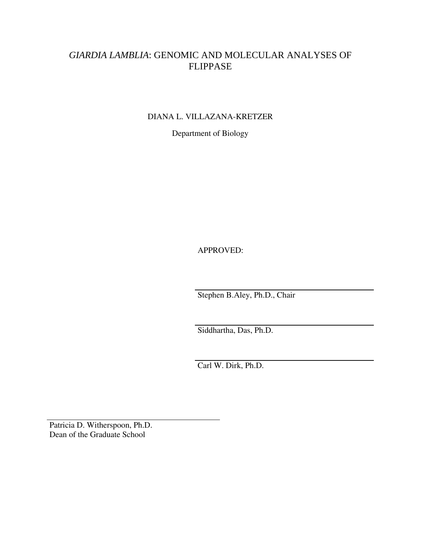# *GIARDIA LAMBLIA*: GENOMIC AND MOLECULAR ANALYSES OF FLIPPASE

DIANA L. VILLAZANA-KRETZER

Department of Biology

APPROVED:

Stephen B.Aley, Ph.D., Chair

Siddhartha, Das, Ph.D.

Carl W. Dirk, Ph.D.

Patricia D. Witherspoon, Ph.D. Dean of the Graduate School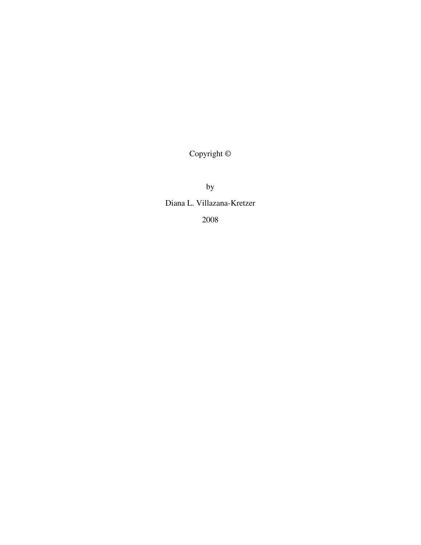Copyright ©

by

Diana L. Villazana-Kretzer

2008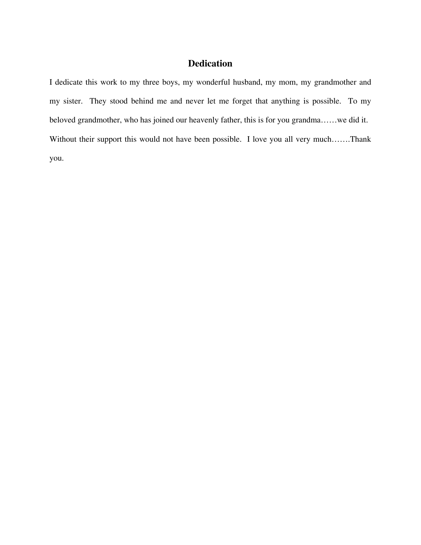# **Dedication**

I dedicate this work to my three boys, my wonderful husband, my mom, my grandmother and my sister. They stood behind me and never let me forget that anything is possible. To my beloved grandmother, who has joined our heavenly father, this is for you grandma……we did it. Without their support this would not have been possible. I love you all very much…….Thank you.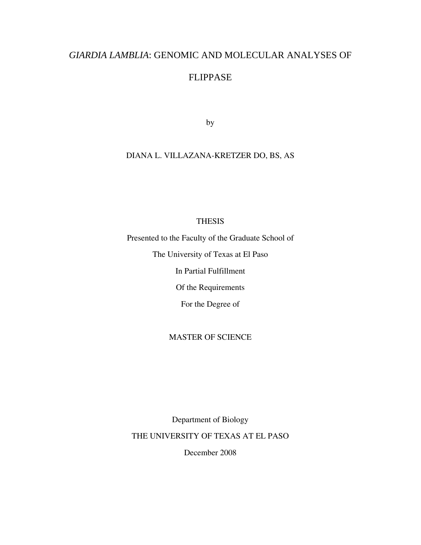# *GIARDIA LAMBLIA*: GENOMIC AND MOLECULAR ANALYSES OF

# FLIPPASE

by

# DIANA L. VILLAZANA-KRETZER DO, BS, AS

### **THESIS**

Presented to the Faculty of the Graduate School of

The University of Texas at El Paso

In Partial Fulfillment

Of the Requirements

For the Degree of

### MASTER OF SCIENCE

Department of Biology THE UNIVERSITY OF TEXAS AT EL PASO December 2008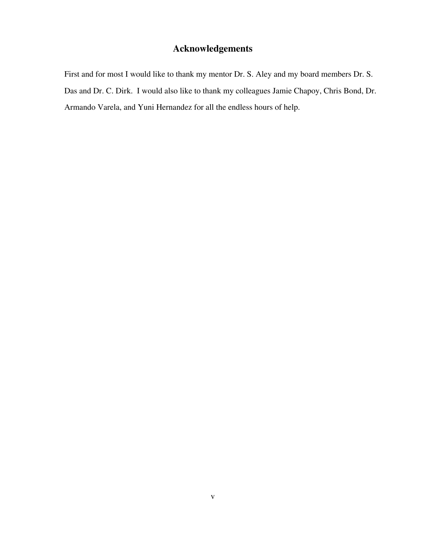# **Acknowledgements**

First and for most I would like to thank my mentor Dr. S. Aley and my board members Dr. S. Das and Dr. C. Dirk. I would also like to thank my colleagues Jamie Chapoy, Chris Bond, Dr. Armando Varela, and Yuni Hernandez for all the endless hours of help.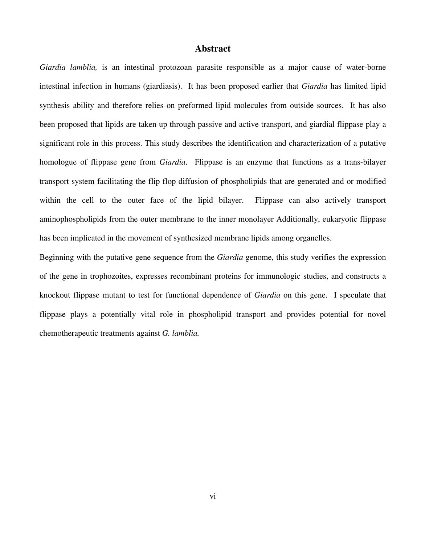#### **Abstract**

*Giardia lamblia,* is an intestinal protozoan parasite responsible as a major cause of water-borne intestinal infection in humans (giardiasis). It has been proposed earlier that *Giardia* has limited lipid synthesis ability and therefore relies on preformed lipid molecules from outside sources. It has also been proposed that lipids are taken up through passive and active transport, and giardial flippase play a significant role in this process. This study describes the identification and characterization of a putative homologue of flippase gene from *Giardia*. Flippase is an enzyme that functions as a trans-bilayer transport system facilitating the flip flop diffusion of phospholipids that are generated and or modified within the cell to the outer face of the lipid bilayer. Flippase can also actively transport aminophospholipids from the outer membrane to the inner monolayer Additionally, eukaryotic flippase has been implicated in the movement of synthesized membrane lipids among organelles.

Beginning with the putative gene sequence from the *Giardia* genome, this study verifies the expression of the gene in trophozoites, expresses recombinant proteins for immunologic studies, and constructs a knockout flippase mutant to test for functional dependence of *Giardia* on this gene. I speculate that flippase plays a potentially vital role in phospholipid transport and provides potential for novel chemotherapeutic treatments against *G. lamblia.*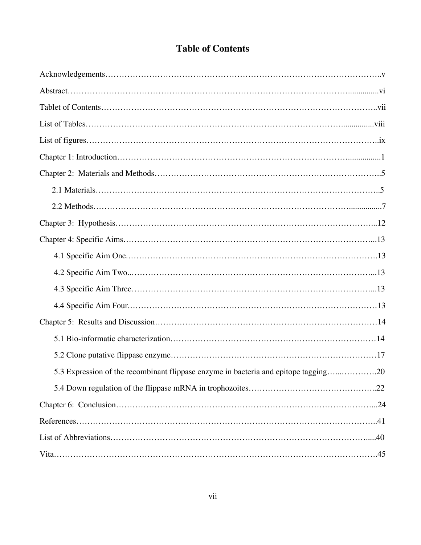# **Table of Contents**

| 5.3 Expression of the recombinant flippase enzyme in bacteria and epitope tagging20 |  |
|-------------------------------------------------------------------------------------|--|
|                                                                                     |  |
|                                                                                     |  |
|                                                                                     |  |
|                                                                                     |  |
|                                                                                     |  |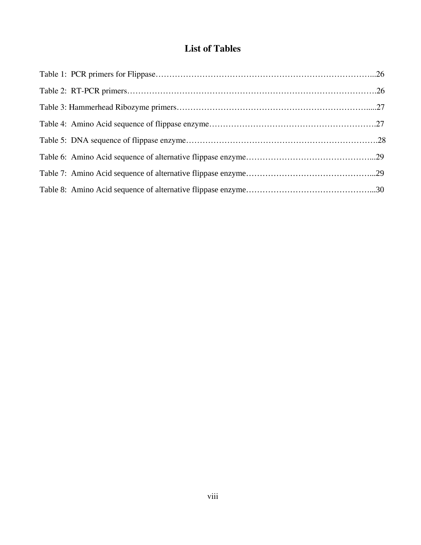# **List of Tables**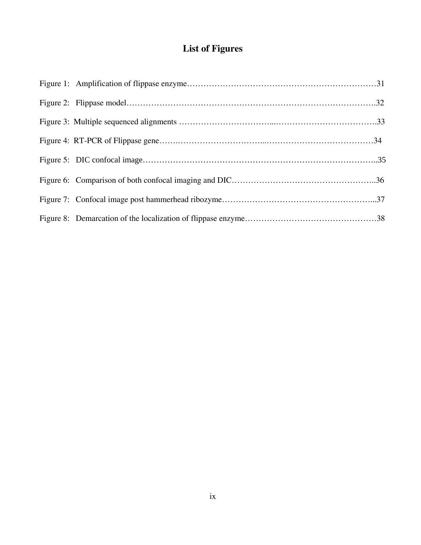# **List of Figures**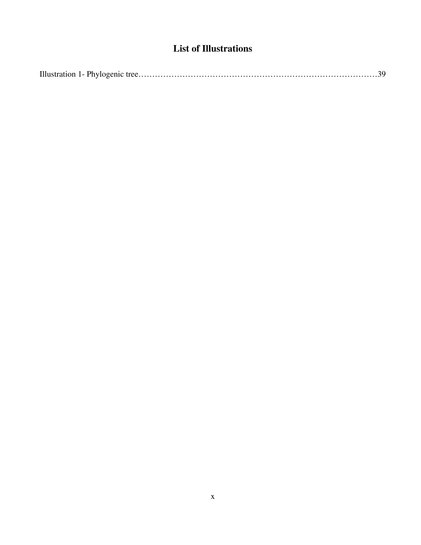# **List of Illustrations**

|--|--|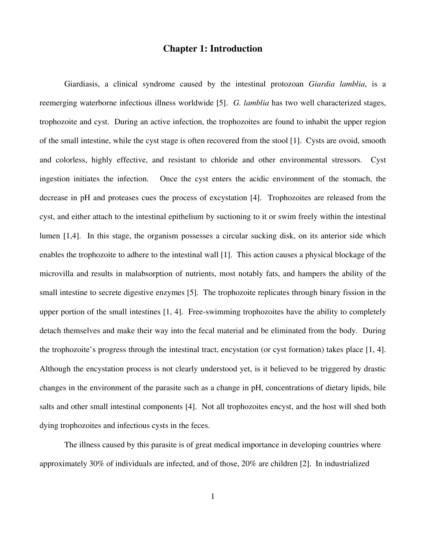#### **Chapter 1: Introduction**

Giardiasis, a clinical syndrome caused by the intestinal protozoan *Giardia lamblia*, is a reemerging waterborne infectious illness worldwide [5]. *G. lamblia* has two well characterized stages, trophozoite and cyst. During an active infection, the trophozoites are found to inhabit the upper region of the small intestine, while the cyst stage is often recovered from the stool [1]. Cysts are ovoid, smooth and colorless, highly effective, and resistant to chloride and other environmental stressors. Cyst ingestion initiates the infection. Once the cyst enters the acidic environment of the stomach, the decrease in pH and proteases cues the process of excystation [4]. Trophozoites are released from the cyst, and either attach to the intestinal epithelium by suctioning to it or swim freely within the intestinal lumen [1,4]. In this stage, the organism possesses a circular sucking disk, on its anterior side which enables the trophozoite to adhere to the intestinal wall [1]. This action causes a physical blockage of the microvilla and results in malabsorption of nutrients, most notably fats, and hampers the ability of the small intestine to secrete digestive enzymes [5]. The trophozoite replicates through binary fission in the upper portion of the small intestines [1, 4]. Free-swimming trophozoites have the ability to completely detach themselves and make their way into the fecal material and be eliminated from the body. During the trophozoite's progress through the intestinal tract, encystation (or cyst formation) takes place [1, 4]. Although the encystation process is not clearly understood yet, is it believed to be triggered by drastic changes in the environment of the parasite such as a change in pH, concentrations of dietary lipids, bile salts and other small intestinal components [4]. Not all trophozoites encyst, and the host will shed both dying trophozoites and infectious cysts in the feces.

The illness caused by this parasite is of great medical importance in developing countries where approximately 30% of individuals are infected, and of those, 20% are children [2]. In industrialized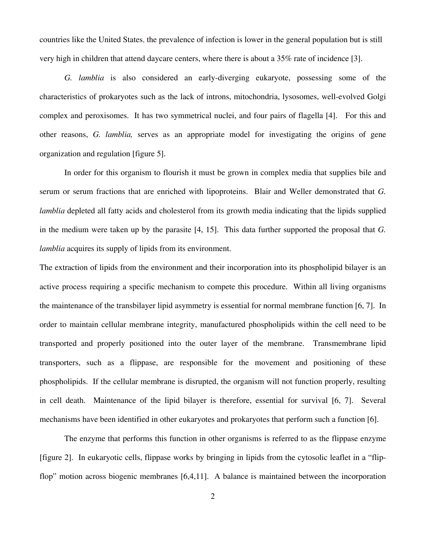countries like the United States, the prevalence of infection is lower in the general population but is still very high in children that attend daycare centers, where there is about a 35% rate of incidence [3].

*G. lamblia* is also considered an early-diverging eukaryote, possessing some of the characteristics of prokaryotes such as the lack of introns, mitochondria, lysosomes, well-evolved Golgi complex and peroxisomes. It has two symmetrical nuclei, and four pairs of flagella [4]. For this and other reasons, *G. lamblia,* serves as an appropriate model for investigating the origins of gene organization and regulation [figure 5].

In order for this organism to flourish it must be grown in complex media that supplies bile and serum or serum fractions that are enriched with lipoproteins. Blair and Weller demonstrated that *G. lamblia* depleted all fatty acids and cholesterol from its growth media indicating that the lipids supplied in the medium were taken up by the parasite [4, 15]. This data further supported the proposal that *G. lamblia* acquires its supply of lipids from its environment.

The extraction of lipids from the environment and their incorporation into its phospholipid bilayer is an active process requiring a specific mechanism to compete this procedure. Within all living organisms the maintenance of the transbilayer lipid asymmetry is essential for normal membrane function [6, 7]. In order to maintain cellular membrane integrity, manufactured phospholipids within the cell need to be transported and properly positioned into the outer layer of the membrane. Transmembrane lipid transporters, such as a flippase, are responsible for the movement and positioning of these phospholipids. If the cellular membrane is disrupted, the organism will not function properly, resulting in cell death. Maintenance of the lipid bilayer is therefore, essential for survival [6, 7]. Several mechanisms have been identified in other eukaryotes and prokaryotes that perform such a function [6].

The enzyme that performs this function in other organisms is referred to as the flippase enzyme [figure 2]. In eukaryotic cells, flippase works by bringing in lipids from the cytosolic leaflet in a "flipflop" motion across biogenic membranes [6,4,11]. A balance is maintained between the incorporation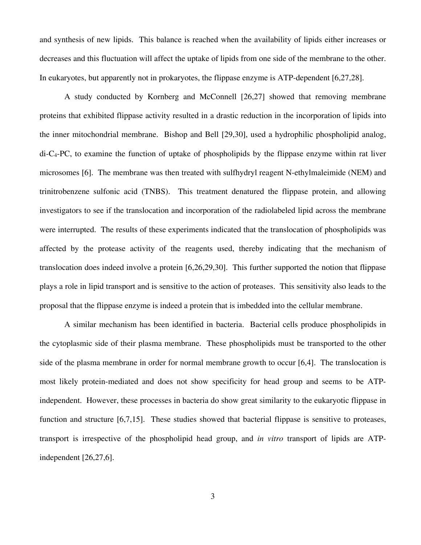and synthesis of new lipids. This balance is reached when the availability of lipids either increases or decreases and this fluctuation will affect the uptake of lipids from one side of the membrane to the other. In eukaryotes, but apparently not in prokaryotes, the flippase enzyme is ATP-dependent [6,27,28].

A study conducted by Kornberg and McConnell [26,27] showed that removing membrane proteins that exhibited flippase activity resulted in a drastic reduction in the incorporation of lipids into the inner mitochondrial membrane. Bishop and Bell [29,30], used a hydrophilic phospholipid analog,  $di-C_4-PC$ , to examine the function of uptake of phospholipids by the flippase enzyme within rat liver microsomes [6]. The membrane was then treated with sulfhydryl reagent N-ethylmaleimide (NEM) and trinitrobenzene sulfonic acid (TNBS). This treatment denatured the flippase protein, and allowing investigators to see if the translocation and incorporation of the radiolabeled lipid across the membrane were interrupted. The results of these experiments indicated that the translocation of phospholipids was affected by the protease activity of the reagents used, thereby indicating that the mechanism of translocation does indeed involve a protein [6,26,29,30]. This further supported the notion that flippase plays a role in lipid transport and is sensitive to the action of proteases. This sensitivity also leads to the proposal that the flippase enzyme is indeed a protein that is imbedded into the cellular membrane.

A similar mechanism has been identified in bacteria. Bacterial cells produce phospholipids in the cytoplasmic side of their plasma membrane. These phospholipids must be transported to the other side of the plasma membrane in order for normal membrane growth to occur [6,4]. The translocation is most likely protein-mediated and does not show specificity for head group and seems to be ATPindependent. However, these processes in bacteria do show great similarity to the eukaryotic flippase in function and structure [6,7,15]. These studies showed that bacterial flippase is sensitive to proteases, transport is irrespective of the phospholipid head group, and *in vitro* transport of lipids are ATPindependent [26,27,6].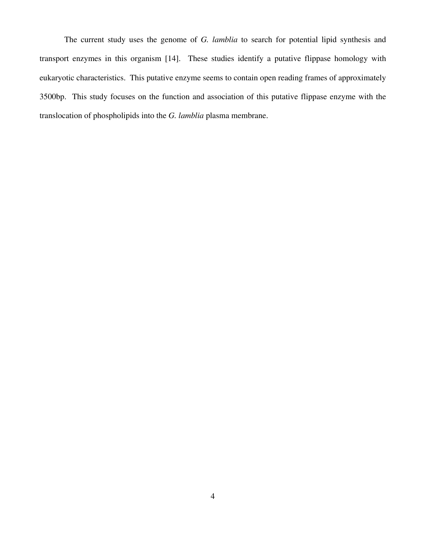The current study uses the genome of *G. lamblia* to search for potential lipid synthesis and transport enzymes in this organism [14]. These studies identify a putative flippase homology with eukaryotic characteristics. This putative enzyme seems to contain open reading frames of approximately 3500bp. This study focuses on the function and association of this putative flippase enzyme with the translocation of phospholipids into the *G. lamblia* plasma membrane.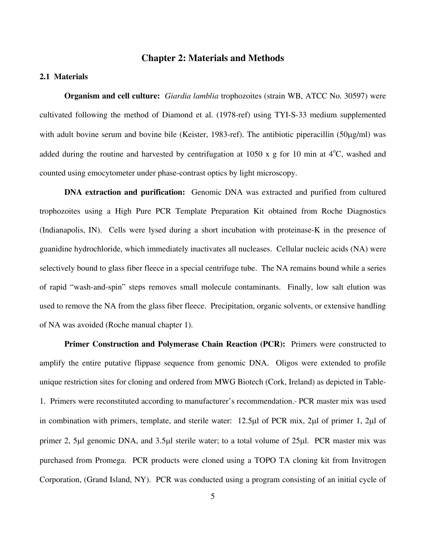#### **Chapter 2: Materials and Methods**

#### **2.1 Materials**

**Organism and cell culture:** *Giardia lamblia* trophozoites (strain WB, ATCC No. 30597) were cultivated following the method of Diamond et al. (1978-ref) using TYI-S-33 medium supplemented with adult bovine serum and bovine bile (Keister, 1983-ref). The antibiotic piperacillin (50 $\mu$ g/ml) was added during the routine and harvested by centrifugation at 1050 x  $g$  for 10 min at  $4^{\circ}$ C, washed and counted using emocytometer under phase-contrast optics by light microscopy.

**DNA extraction and purification:** Genomic DNA was extracted and purified from cultured trophozoites using a High Pure PCR Template Preparation Kit obtained from Roche Diagnostics (Indianapolis, IN). Cells were lysed during a short incubation with proteinase-K in the presence of guanidine hydrochloride, which immediately inactivates all nucleases. Cellular nucleic acids (NA) were selectively bound to glass fiber fleece in a special centrifuge tube. The NA remains bound while a series of rapid "wash-and-spin" steps removes small molecule contaminants. Finally, low salt elution was used to remove the NA from the glass fiber fleece. Precipitation, organic solvents, or extensive handling of NA was avoided (Roche manual chapter 1).

**Primer Construction and Polymerase Chain Reaction (PCR):** Primers were constructed to amplify the entire putative flippase sequence from genomic DNA. Oligos were extended to profile unique restriction sites for cloning and ordered from MWG Biotech (Cork, Ireland) as depicted in Table-1. Primers were reconstituted according to manufacturer's recommendation. PCR master mix was used in combination with primers, template, and sterile water:  $12.5\mu$  of PCR mix,  $2\mu$  of primer 1,  $2\mu$  of primer 2, 5 $\mu$ l genomic DNA, and 3.5 $\mu$ l sterile water; to a total volume of 25 $\mu$ l. PCR master mix was purchased from Promega. PCR products were cloned using a TOPO TA cloning kit from Invitrogen Corporation, (Grand Island, NY). PCR was conducted using a program consisting of an initial cycle of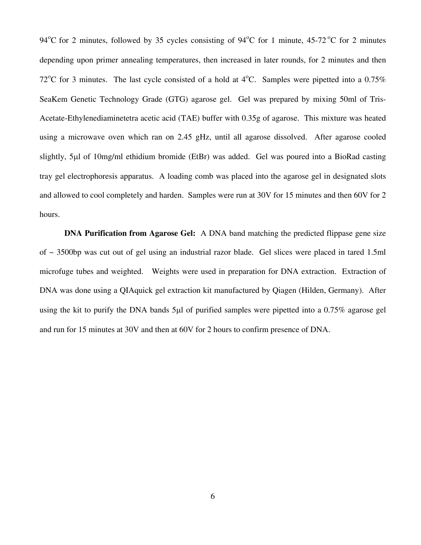94<sup>o</sup>C for 2 minutes, followed by 35 cycles consisting of 94<sup>o</sup>C for 1 minute, 45-72<sup>o</sup>C for 2 minutes depending upon primer annealing temperatures, then increased in later rounds, for 2 minutes and then 72<sup>o</sup>C for 3 minutes. The last cycle consisted of a hold at  $4^{\circ}$ C. Samples were pipetted into a 0.75% SeaKem Genetic Technology Grade (GTG) agarose gel. Gel was prepared by mixing 50ml of Tris-Acetate-Ethylenediaminetetra acetic acid (TAE) buffer with 0.35g of agarose. This mixture was heated using a microwave oven which ran on 2.45 gHz, until all agarose dissolved. After agarose cooled slightly, 5µl of 10mg/ml ethidium bromide (EtBr) was added. Gel was poured into a BioRad casting tray gel electrophoresis apparatus. A loading comb was placed into the agarose gel in designated slots and allowed to cool completely and harden. Samples were run at 30V for 15 minutes and then 60V for 2 hours.

**DNA Purification from Agarose Gel:** A DNA band matching the predicted flippase gene size of ~ 3500bp was cut out of gel using an industrial razor blade. Gel slices were placed in tared 1.5ml microfuge tubes and weighted. Weights were used in preparation for DNA extraction. Extraction of DNA was done using a QIAquick gel extraction kit manufactured by Qiagen (Hilden, Germany). After using the kit to purify the DNA bands 5µl of purified samples were pipetted into a 0.75% agarose gel and run for 15 minutes at 30V and then at 60V for 2 hours to confirm presence of DNA.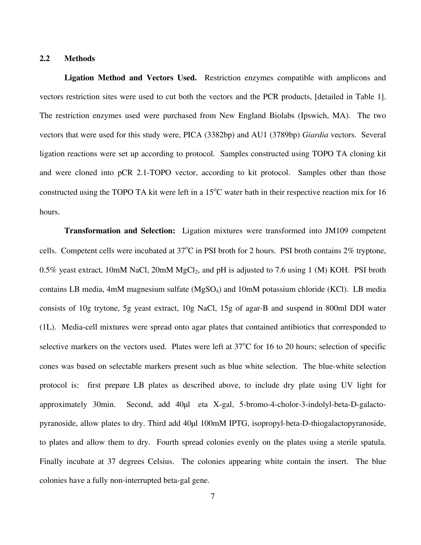#### **2.2 Methods**

**Ligation Method and Vectors Used.** Restriction enzymes compatible with amplicons and vectors restriction sites were used to cut both the vectors and the PCR products, [detailed in Table 1]. The restriction enzymes used were purchased from New England Biolabs (Ipswich, MA). The two vectors that were used for this study were, PICA (3382bp) and AU1 (3789bp) *Giardia* vectors. Several ligation reactions were set up according to protocol. Samples constructed using TOPO TA cloning kit and were cloned into pCR 2.1-TOPO vector, according to kit protocol. Samples other than those constructed using the TOPO TA kit were left in a  $15^{\circ}$ C water bath in their respective reaction mix for 16 hours.

**Transformation and Selection:** Ligation mixtures were transformed into JM109 competent cells. Competent cells were incubated at 37<sup>o</sup>C in PSI broth for 2 hours. PSI broth contains 2% tryptone, 0.5% yeast extract, 10mM NaCl, 20mM MgCl<sub>2</sub>, and pH is adjusted to 7.6 using 1 (M) KOH. PSI broth contains LB media, 4mM magnesium sulfate (MgSO4) and 10mM potassium chloride (KCl). LB media consists of 10g trytone, 5g yeast extract, 10g NaCl, 15g of agar-B and suspend in 800ml DDI water (1L). Media-cell mixtures were spread onto agar plates that contained antibiotics that corresponded to selective markers on the vectors used. Plates were left at 37<sup>o</sup>C for 16 to 20 hours; selection of specific cones was based on selectable markers present such as blue white selection. The blue-white selection protocol is: first prepare LB plates as described above, to include dry plate using UV light for approximately 30min. Second, add 40µl eta X-gal, 5-bromo-4-cholor-3-indolyl-beta-D-galactopyranoside, allow plates to dry. Third add 40µl 100mM IPTG, isopropyl-beta-D-thiogalactopyranoside, to plates and allow them to dry. Fourth spread colonies evenly on the plates using a sterile spatula. Finally incubate at 37 degrees Celsius. The colonies appearing white contain the insert. The blue colonies have a fully non-interrupted beta-gal gene.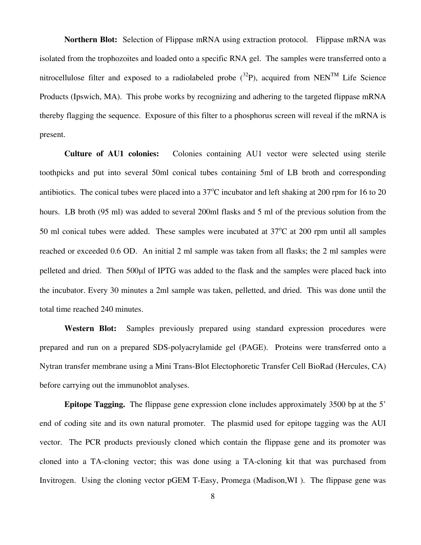**Northern Blot:** Selection of Flippase mRNA using extraction protocol. Flippase mRNA was isolated from the trophozoites and loaded onto a specific RNA gel. The samples were transferred onto a nitrocellulose filter and exposed to a radiolabeled probe  $(^{32}P)$ , acquired from NEN<sup>TM</sup> Life Science Products (Ipswich, MA). This probe works by recognizing and adhering to the targeted flippase mRNA thereby flagging the sequence. Exposure of this filter to a phosphorus screen will reveal if the mRNA is present.

**Culture of AU1 colonies:** Colonies containing AU1 vector were selected using sterile toothpicks and put into several 50ml conical tubes containing 5ml of LB broth and corresponding antibiotics. The conical tubes were placed into a 37 C incubator and left shaking at 200 rpm for 16 to 20 hours. LB broth (95 ml) was added to several 200ml flasks and 5 ml of the previous solution from the 50 ml conical tubes were added. These samples were incubated at  $37^{\circ}$ C at 200 rpm until all samples reached or exceeded 0.6 OD. An initial 2 ml sample was taken from all flasks; the 2 ml samples were pelleted and dried. Then 500 $\mu$ l of IPTG was added to the flask and the samples were placed back into the incubator. Every 30 minutes a 2ml sample was taken, pelletted, and dried. This was done until the total time reached 240 minutes.

**Western Blot:** Samples previously prepared using standard expression procedures were prepared and run on a prepared SDS-polyacrylamide gel (PAGE). Proteins were transferred onto a Nytran transfer membrane using a Mini Trans-Blot Electophoretic Transfer Cell BioRad (Hercules, CA) before carrying out the immunoblot analyses.

**Epitope Tagging.** The flippase gene expression clone includes approximately 3500 bp at the 5' end of coding site and its own natural promoter. The plasmid used for epitope tagging was the AUI vector. The PCR products previously cloned which contain the flippase gene and its promoter was cloned into a TA-cloning vector; this was done using a TA-cloning kit that was purchased from Invitrogen. Using the cloning vector pGEM T-Easy, Promega (Madison,WI ). The flippase gene was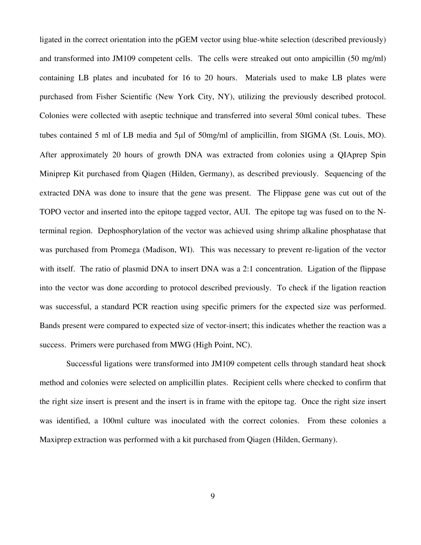ligated in the correct orientation into the pGEM vector using blue-white selection (described previously) and transformed into JM109 competent cells. The cells were streaked out onto ampicillin (50 mg/ml) containing LB plates and incubated for 16 to 20 hours. Materials used to make LB plates were purchased from Fisher Scientific (New York City, NY), utilizing the previously described protocol. Colonies were collected with aseptic technique and transferred into several 50ml conical tubes. These tubes contained 5 ml of LB media and 5µl of 50mg/ml of amplicillin, from SIGMA (St. Louis, MO). After approximately 20 hours of growth DNA was extracted from colonies using a QIAprep Spin Miniprep Kit purchased from Qiagen (Hilden, Germany), as described previously. Sequencing of the extracted DNA was done to insure that the gene was present. The Flippase gene was cut out of the TOPO vector and inserted into the epitope tagged vector, AUI. The epitope tag was fused on to the Nterminal region. Dephosphorylation of the vector was achieved using shrimp alkaline phosphatase that was purchased from Promega (Madison, WI). This was necessary to prevent re-ligation of the vector with itself. The ratio of plasmid DNA to insert DNA was a 2:1 concentration. Ligation of the flippase into the vector was done according to protocol described previously. To check if the ligation reaction was successful, a standard PCR reaction using specific primers for the expected size was performed. Bands present were compared to expected size of vector-insert; this indicates whether the reaction was a success. Primers were purchased from MWG (High Point, NC).

 Successful ligations were transformed into JM109 competent cells through standard heat shock method and colonies were selected on amplicillin plates. Recipient cells where checked to confirm that the right size insert is present and the insert is in frame with the epitope tag. Once the right size insert was identified, a 100ml culture was inoculated with the correct colonies. From these colonies a Maxiprep extraction was performed with a kit purchased from Qiagen (Hilden, Germany).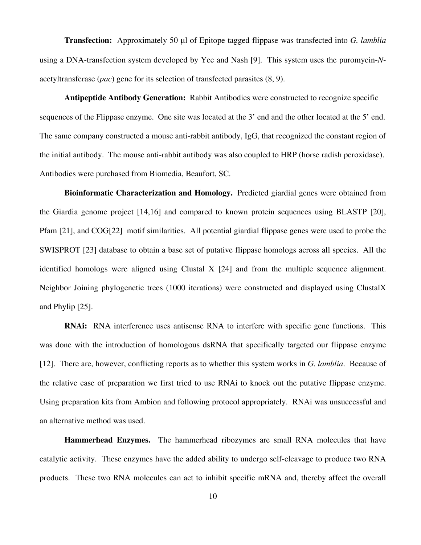**Transfection:** Approximately 50 µl of Epitope tagged flippase was transfected into *G. lamblia* using a DNA-transfection system developed by Yee and Nash [9]. This system uses the puromycin-*N*acetyltransferase (*pac*) gene for its selection of transfected parasites (8, 9).

**Antipeptide Antibody Generation:** Rabbit Antibodies were constructed to recognize specific sequences of the Flippase enzyme. One site was located at the 3' end and the other located at the 5' end. The same company constructed a mouse anti-rabbit antibody, IgG, that recognized the constant region of the initial antibody. The mouse anti-rabbit antibody was also coupled to HRP (horse radish peroxidase). Antibodies were purchased from Biomedia, Beaufort, SC.

**Bioinformatic Characterization and Homology.** Predicted giardial genes were obtained from the Giardia genome project [14,16] and compared to known protein sequences using BLASTP [20], Pfam [21], and COG[22] motif similarities. All potential giardial flippase genes were used to probe the SWISPROT [23] database to obtain a base set of putative flippase homologs across all species. All the identified homologs were aligned using Clustal X [24] and from the multiple sequence alignment. Neighbor Joining phylogenetic trees (1000 iterations) were constructed and displayed using ClustalX and Phylip [25].

**RNAi:** RNA interference uses antisense RNA to interfere with specific gene functions. This was done with the introduction of homologous dsRNA that specifically targeted our flippase enzyme [12]. There are, however, conflicting reports as to whether this system works in *G. lamblia*. Because of the relative ease of preparation we first tried to use RNAi to knock out the putative flippase enzyme. Using preparation kits from Ambion and following protocol appropriately. RNAi was unsuccessful and an alternative method was used.

**Hammerhead Enzymes.** The hammerhead ribozymes are small RNA molecules that have catalytic activity. These enzymes have the added ability to undergo self-cleavage to produce two RNA products. These two RNA molecules can act to inhibit specific mRNA and, thereby affect the overall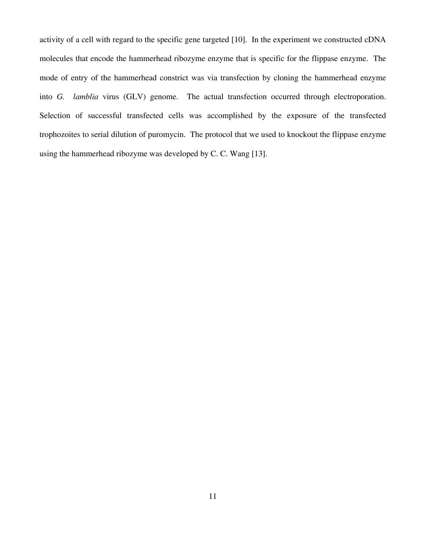activity of a cell with regard to the specific gene targeted [10]. In the experiment we constructed cDNA molecules that encode the hammerhead ribozyme enzyme that is specific for the flippase enzyme. The mode of entry of the hammerhead constrict was via transfection by cloning the hammerhead enzyme into *G. lamblia* virus (GLV) genome. The actual transfection occurred through electroporation. Selection of successful transfected cells was accomplished by the exposure of the transfected trophozoites to serial dilution of puromycin. The protocol that we used to knockout the flippase enzyme using the hammerhead ribozyme was developed by C. C. Wang [13].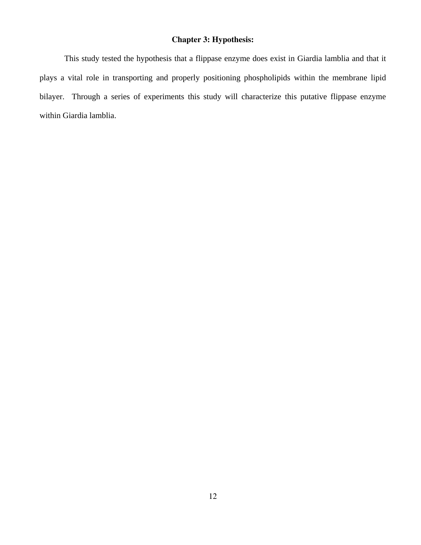### **Chapter 3: Hypothesis:**

This study tested the hypothesis that a flippase enzyme does exist in Giardia lamblia and that it plays a vital role in transporting and properly positioning phospholipids within the membrane lipid bilayer. Through a series of experiments this study will characterize this putative flippase enzyme within Giardia lamblia.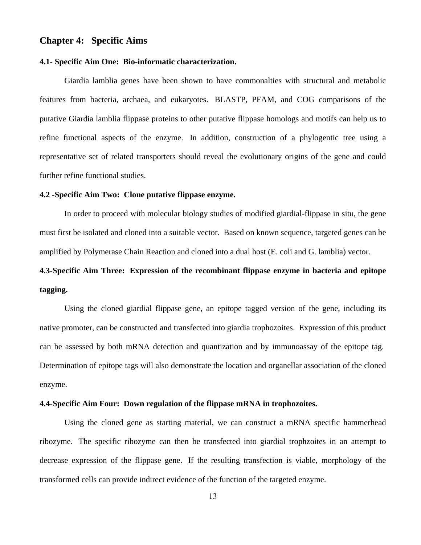#### **Chapter 4: Specific Aims**

#### **4.1- Specific Aim One: Bio-informatic characterization.**

 Giardia lamblia genes have been shown to have commonalties with structural and metabolic features from bacteria, archaea, and eukaryotes. BLASTP, PFAM, and COG comparisons of the putative Giardia lamblia flippase proteins to other putative flippase homologs and motifs can help us to refine functional aspects of the enzyme. In addition, construction of a phylogentic tree using a representative set of related transporters should reveal the evolutionary origins of the gene and could further refine functional studies.

#### **4.2 -Specific Aim Two: Clone putative flippase enzyme.**

 In order to proceed with molecular biology studies of modified giardial-flippase in situ, the gene must first be isolated and cloned into a suitable vector. Based on known sequence, targeted genes can be amplified by Polymerase Chain Reaction and cloned into a dual host (E. coli and G. lamblia) vector.

# **4.3-Specific Aim Three: Expression of the recombinant flippase enzyme in bacteria and epitope tagging.**

 Using the cloned giardial flippase gene, an epitope tagged version of the gene, including its native promoter, can be constructed and transfected into giardia trophozoites. Expression of this product can be assessed by both mRNA detection and quantization and by immunoassay of the epitope tag. Determination of epitope tags will also demonstrate the location and organellar association of the cloned enzyme.

#### **4.4-Specific Aim Four: Down regulation of the flippase mRNA in trophozoites.**

 Using the cloned gene as starting material, we can construct a mRNA specific hammerhead ribozyme. The specific ribozyme can then be transfected into giardial trophzoites in an attempt to decrease expression of the flippase gene. If the resulting transfection is viable, morphology of the transformed cells can provide indirect evidence of the function of the targeted enzyme.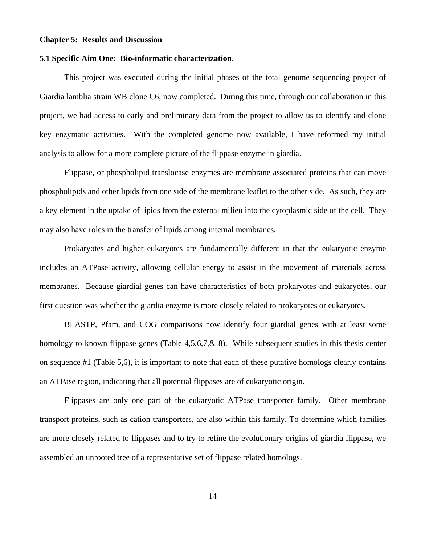#### **Chapter 5: Results and Discussion**

#### **5.1 Specific Aim One: Bio-informatic characterization**.

This project was executed during the initial phases of the total genome sequencing project of Giardia lamblia strain WB clone C6, now completed. During this time, through our collaboration in this project, we had access to early and preliminary data from the project to allow us to identify and clone key enzymatic activities. With the completed genome now available, I have reformed my initial analysis to allow for a more complete picture of the flippase enzyme in giardia.

Flippase, or phospholipid translocase enzymes are membrane associated proteins that can move phospholipids and other lipids from one side of the membrane leaflet to the other side. As such, they are a key element in the uptake of lipids from the external milieu into the cytoplasmic side of the cell. They may also have roles in the transfer of lipids among internal membranes.

Prokaryotes and higher eukaryotes are fundamentally different in that the eukaryotic enzyme includes an ATPase activity, allowing cellular energy to assist in the movement of materials across membranes. Because giardial genes can have characteristics of both prokaryotes and eukaryotes, our first question was whether the giardia enzyme is more closely related to prokaryotes or eukaryotes.

BLASTP, Pfam, and COG comparisons now identify four giardial genes with at least some homology to known flippase genes (Table 4,5,6,7,& 8). While subsequent studies in this thesis center on sequence #1 (Table 5,6), it is important to note that each of these putative homologs clearly contains an ATPase region, indicating that all potential flippases are of eukaryotic origin.

Flippases are only one part of the eukaryotic ATPase transporter family. Other membrane transport proteins, such as cation transporters, are also within this family. To determine which families are more closely related to flippases and to try to refine the evolutionary origins of giardia flippase, we assembled an unrooted tree of a representative set of flippase related homologs.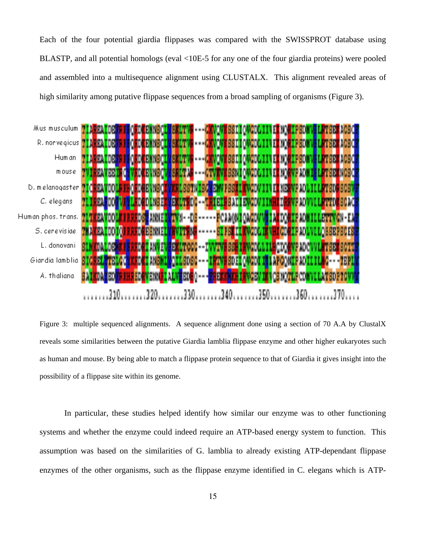Each of the four potential giardia flippases was compared with the SWISSPROT database using BLASTP, and all potential homologs (eval <10E-5 for any one of the four giardia proteins) were pooled and assembled into a multisequence alignment using CLUSTALX. This alignment revealed areas of high similarity among putative flippase sequences from a broad sampling of organisms (Figure 3).



Figure 3: multiple sequenced alignments. A sequence alignment done using a section of 70 A.A by ClustalX reveals some similarities between the putative Giardia lamblia flippase enzyme and other higher eukaryotes such as human and mouse. By being able to match a flippase protein sequence to that of Giardia it gives insight into the possibility of a flippase site within its genome.

In particular, these studies helped identify how similar our enzyme was to other functioning systems and whether the enzyme could indeed require an ATP-based energy system to function. This assumption was based on the similarities of G. lamblia to already existing ATP-dependant flippase enzymes of the other organisms, such as the flippase enzyme identified in C. elegans which is ATP-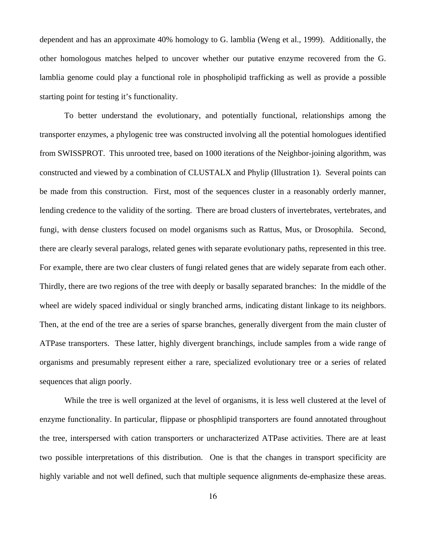dependent and has an approximate 40% homology to G. lamblia (Weng et al., 1999). Additionally, the other homologous matches helped to uncover whether our putative enzyme recovered from the G. lamblia genome could play a functional role in phospholipid trafficking as well as provide a possible starting point for testing it's functionality.

To better understand the evolutionary, and potentially functional, relationships among the transporter enzymes, a phylogenic tree was constructed involving all the potential homologues identified from SWISSPROT. This unrooted tree, based on 1000 iterations of the Neighbor-joining algorithm, was constructed and viewed by a combination of CLUSTALX and Phylip (Illustration 1). Several points can be made from this construction. First, most of the sequences cluster in a reasonably orderly manner, lending credence to the validity of the sorting. There are broad clusters of invertebrates, vertebrates, and fungi, with dense clusters focused on model organisms such as Rattus, Mus, or Drosophila. Second, there are clearly several paralogs, related genes with separate evolutionary paths, represented in this tree. For example, there are two clear clusters of fungi related genes that are widely separate from each other. Thirdly, there are two regions of the tree with deeply or basally separated branches: In the middle of the wheel are widely spaced individual or singly branched arms, indicating distant linkage to its neighbors. Then, at the end of the tree are a series of sparse branches, generally divergent from the main cluster of ATPase transporters. These latter, highly divergent branchings, include samples from a wide range of organisms and presumably represent either a rare, specialized evolutionary tree or a series of related sequences that align poorly.

While the tree is well organized at the level of organisms, it is less well clustered at the level of enzyme functionality. In particular, flippase or phosphlipid transporters are found annotated throughout the tree, interspersed with cation transporters or uncharacterized ATPase activities. There are at least two possible interpretations of this distribution. One is that the changes in transport specificity are highly variable and not well defined, such that multiple sequence alignments de-emphasize these areas.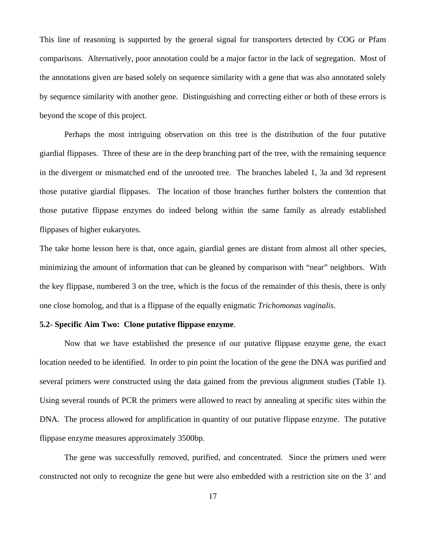This line of reasoning is supported by the general signal for transporters detected by COG or Pfam comparisons. Alternatively, poor annotation could be a major factor in the lack of segregation. Most of the annotations given are based solely on sequence similarity with a gene that was also annotated solely by sequence similarity with another gene. Distinguishing and correcting either or both of these errors is beyond the scope of this project.

Perhaps the most intriguing observation on this tree is the distribution of the four putative giardial flippases. Three of these are in the deep branching part of the tree, with the remaining sequence in the divergent or mismatched end of the unrooted tree. The branches labeled 1, 3a and 3d represent those putative giardial flippases. The location of those branches further bolsters the contention that those putative flippase enzymes do indeed belong within the same family as already established flippases of higher eukaryotes.

The take home lesson here is that, once again, giardial genes are distant from almost all other species, minimizing the amount of information that can be gleaned by comparison with "near" neighbors. With the key flippase, numbered 3 on the tree, which is the focus of the remainder of this thesis, there is only one close homolog, and that is a flippase of the equally enigmatic *Trichomonas vaginalis*.

#### **5.2- Specific Aim Two: Clone putative flippase enzyme**.

Now that we have established the presence of our putative flippase enzyme gene, the exact location needed to be identified. In order to pin point the location of the gene the DNA was purified and several primers were constructed using the data gained from the previous alignment studies (Table 1). Using several rounds of PCR the primers were allowed to react by annealing at specific sites within the DNA. The process allowed for amplification in quantity of our putative flippase enzyme. The putative flippase enzyme measures approximately 3500bp.

The gene was successfully removed, purified, and concentrated. Since the primers used were constructed not only to recognize the gene but were also embedded with a restriction site on the 3' and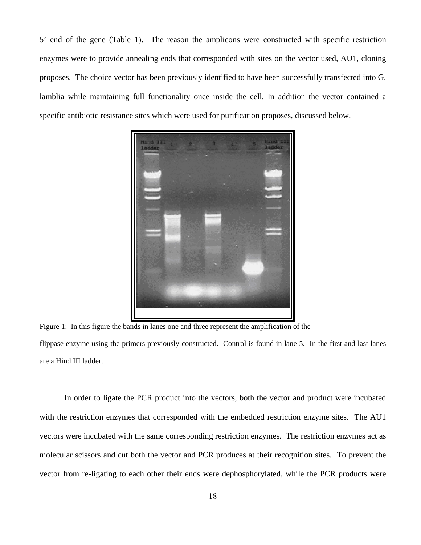5' end of the gene (Table 1). The reason the amplicons were constructed with specific restriction enzymes were to provide annealing ends that corresponded with sites on the vector used, AU1, cloning proposes. The choice vector has been previously identified to have been successfully transfected into G. lamblia while maintaining full functionality once inside the cell. In addition the vector contained a specific antibiotic resistance sites which were used for purification proposes, discussed below.



Figure 1: In this figure the bands in lanes one and three represent the amplification of the flippase enzyme using the primers previously constructed. Control is found in lane 5. In the first and last lanes are a Hind III ladder.

In order to ligate the PCR product into the vectors, both the vector and product were incubated with the restriction enzymes that corresponded with the embedded restriction enzyme sites. The AU1 vectors were incubated with the same corresponding restriction enzymes. The restriction enzymes act as molecular scissors and cut both the vector and PCR produces at their recognition sites. To prevent the vector from re-ligating to each other their ends were dephosphorylated, while the PCR products were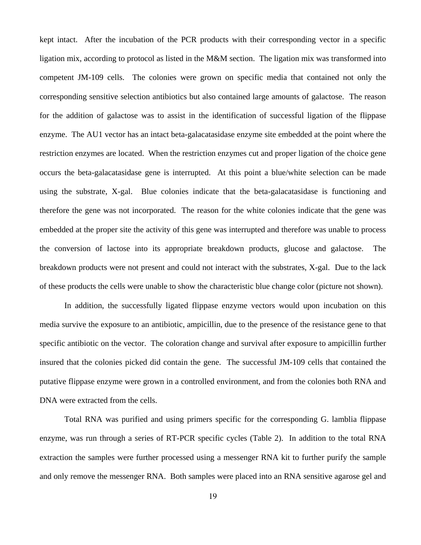kept intact. After the incubation of the PCR products with their corresponding vector in a specific ligation mix, according to protocol as listed in the M&M section. The ligation mix was transformed into competent JM-109 cells. The colonies were grown on specific media that contained not only the corresponding sensitive selection antibiotics but also contained large amounts of galactose. The reason for the addition of galactose was to assist in the identification of successful ligation of the flippase enzyme. The AU1 vector has an intact beta-galacatasidase enzyme site embedded at the point where the restriction enzymes are located. When the restriction enzymes cut and proper ligation of the choice gene occurs the beta-galacatasidase gene is interrupted. At this point a blue/white selection can be made using the substrate, X-gal. Blue colonies indicate that the beta-galacatasidase is functioning and therefore the gene was not incorporated. The reason for the white colonies indicate that the gene was embedded at the proper site the activity of this gene was interrupted and therefore was unable to process the conversion of lactose into its appropriate breakdown products, glucose and galactose. The breakdown products were not present and could not interact with the substrates, X-gal. Due to the lack of these products the cells were unable to show the characteristic blue change color (picture not shown).

In addition, the successfully ligated flippase enzyme vectors would upon incubation on this media survive the exposure to an antibiotic, ampicillin, due to the presence of the resistance gene to that specific antibiotic on the vector. The coloration change and survival after exposure to ampicillin further insured that the colonies picked did contain the gene. The successful JM-109 cells that contained the putative flippase enzyme were grown in a controlled environment, and from the colonies both RNA and DNA were extracted from the cells.

Total RNA was purified and using primers specific for the corresponding G. lamblia flippase enzyme, was run through a series of RT-PCR specific cycles (Table 2). In addition to the total RNA extraction the samples were further processed using a messenger RNA kit to further purify the sample and only remove the messenger RNA. Both samples were placed into an RNA sensitive agarose gel and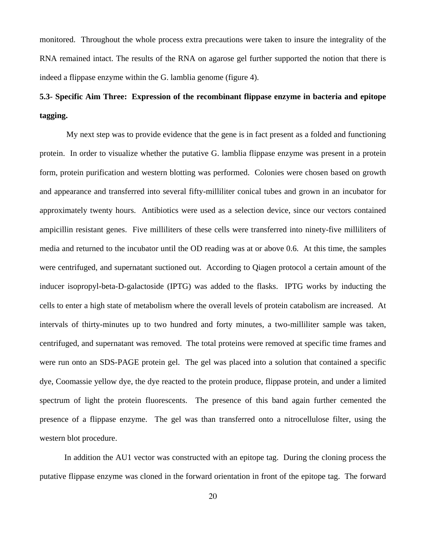monitored. Throughout the whole process extra precautions were taken to insure the integrality of the RNA remained intact. The results of the RNA on agarose gel further supported the notion that there is indeed a flippase enzyme within the G. lamblia genome (figure 4).

# **5.3- Specific Aim Three: Expression of the recombinant flippase enzyme in bacteria and epitope tagging.**

 My next step was to provide evidence that the gene is in fact present as a folded and functioning protein. In order to visualize whether the putative G. lamblia flippase enzyme was present in a protein form, protein purification and western blotting was performed. Colonies were chosen based on growth and appearance and transferred into several fifty-milliliter conical tubes and grown in an incubator for approximately twenty hours. Antibiotics were used as a selection device, since our vectors contained ampicillin resistant genes. Five milliliters of these cells were transferred into ninety-five milliliters of media and returned to the incubator until the OD reading was at or above 0.6. At this time, the samples were centrifuged, and supernatant suctioned out. According to Qiagen protocol a certain amount of the inducer isopropyl-beta-D-galactoside (IPTG) was added to the flasks. IPTG works by inducting the cells to enter a high state of metabolism where the overall levels of protein catabolism are increased. At intervals of thirty-minutes up to two hundred and forty minutes, a two-milliliter sample was taken, centrifuged, and supernatant was removed. The total proteins were removed at specific time frames and were run onto an SDS-PAGE protein gel. The gel was placed into a solution that contained a specific dye, Coomassie yellow dye, the dye reacted to the protein produce, flippase protein, and under a limited spectrum of light the protein fluorescents. The presence of this band again further cemented the presence of a flippase enzyme. The gel was than transferred onto a nitrocellulose filter, using the western blot procedure.

In addition the AU1 vector was constructed with an epitope tag. During the cloning process the putative flippase enzyme was cloned in the forward orientation in front of the epitope tag. The forward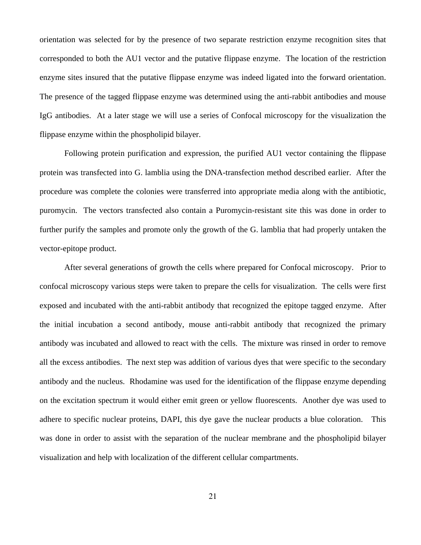orientation was selected for by the presence of two separate restriction enzyme recognition sites that corresponded to both the AU1 vector and the putative flippase enzyme. The location of the restriction enzyme sites insured that the putative flippase enzyme was indeed ligated into the forward orientation. The presence of the tagged flippase enzyme was determined using the anti-rabbit antibodies and mouse IgG antibodies. At a later stage we will use a series of Confocal microscopy for the visualization the flippase enzyme within the phospholipid bilayer.

Following protein purification and expression, the purified AU1 vector containing the flippase protein was transfected into G. lamblia using the DNA-transfection method described earlier. After the procedure was complete the colonies were transferred into appropriate media along with the antibiotic, puromycin. The vectors transfected also contain a Puromycin-resistant site this was done in order to further purify the samples and promote only the growth of the G. lamblia that had properly untaken the vector-epitope product.

After several generations of growth the cells where prepared for Confocal microscopy. Prior to confocal microscopy various steps were taken to prepare the cells for visualization. The cells were first exposed and incubated with the anti-rabbit antibody that recognized the epitope tagged enzyme. After the initial incubation a second antibody, mouse anti-rabbit antibody that recognized the primary antibody was incubated and allowed to react with the cells. The mixture was rinsed in order to remove all the excess antibodies. The next step was addition of various dyes that were specific to the secondary antibody and the nucleus. Rhodamine was used for the identification of the flippase enzyme depending on the excitation spectrum it would either emit green or yellow fluorescents. Another dye was used to adhere to specific nuclear proteins, DAPI, this dye gave the nuclear products a blue coloration. This was done in order to assist with the separation of the nuclear membrane and the phospholipid bilayer visualization and help with localization of the different cellular compartments.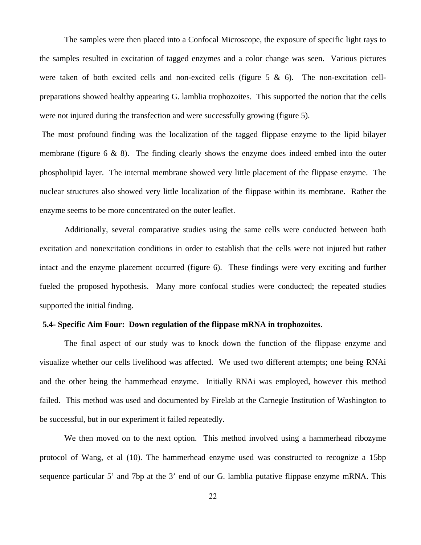The samples were then placed into a Confocal Microscope, the exposure of specific light rays to the samples resulted in excitation of tagged enzymes and a color change was seen. Various pictures were taken of both excited cells and non-excited cells (figure  $5 \& 6$ ). The non-excitation cellpreparations showed healthy appearing G. lamblia trophozoites. This supported the notion that the cells were not injured during the transfection and were successfully growing (figure 5).

 The most profound finding was the localization of the tagged flippase enzyme to the lipid bilayer membrane (figure  $6 \& 8$ ). The finding clearly shows the enzyme does indeed embed into the outer phospholipid layer. The internal membrane showed very little placement of the flippase enzyme. The nuclear structures also showed very little localization of the flippase within its membrane. Rather the enzyme seems to be more concentrated on the outer leaflet.

Additionally, several comparative studies using the same cells were conducted between both excitation and nonexcitation conditions in order to establish that the cells were not injured but rather intact and the enzyme placement occurred (figure 6). These findings were very exciting and further fueled the proposed hypothesis. Many more confocal studies were conducted; the repeated studies supported the initial finding.

#### **5.4- Specific Aim Four: Down regulation of the flippase mRNA in trophozoites**.

 The final aspect of our study was to knock down the function of the flippase enzyme and visualize whether our cells livelihood was affected. We used two different attempts; one being RNAi and the other being the hammerhead enzyme. Initially RNAi was employed, however this method failed. This method was used and documented by Firelab at the Carnegie Institution of Washington to be successful, but in our experiment it failed repeatedly.

We then moved on to the next option. This method involved using a hammerhead ribozyme protocol of Wang, et al (10). The hammerhead enzyme used was constructed to recognize a 15bp sequence particular 5' and 7bp at the 3' end of our G. lamblia putative flippase enzyme mRNA. This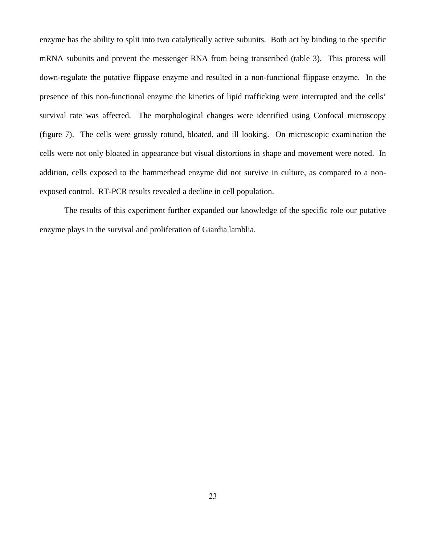enzyme has the ability to split into two catalytically active subunits. Both act by binding to the specific mRNA subunits and prevent the messenger RNA from being transcribed (table 3). This process will down-regulate the putative flippase enzyme and resulted in a non-functional flippase enzyme. In the presence of this non-functional enzyme the kinetics of lipid trafficking were interrupted and the cells' survival rate was affected. The morphological changes were identified using Confocal microscopy (figure 7). The cells were grossly rotund, bloated, and ill looking. On microscopic examination the cells were not only bloated in appearance but visual distortions in shape and movement were noted. In addition, cells exposed to the hammerhead enzyme did not survive in culture, as compared to a nonexposed control. RT-PCR results revealed a decline in cell population.

The results of this experiment further expanded our knowledge of the specific role our putative enzyme plays in the survival and proliferation of Giardia lamblia.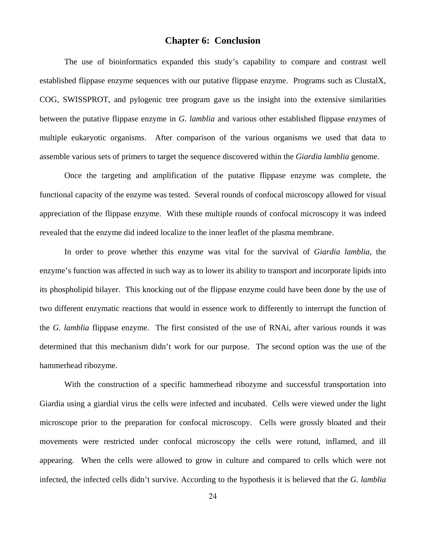#### **Chapter 6: Conclusion**

The use of bioinformatics expanded this study's capability to compare and contrast well established flippase enzyme sequences with our putative flippase enzyme. Programs such as ClustalX, COG, SWISSPROT, and pylogenic tree program gave us the insight into the extensive similarities between the putative flippase enzyme in *G. lamblia* and various other established flippase enzymes of multiple eukaryotic organisms. After comparison of the various organisms we used that data to assemble various sets of primers to target the sequence discovered within the *Giardia lamblia* genome.

 Once the targeting and amplification of the putative flippase enzyme was complete, the functional capacity of the enzyme was tested. Several rounds of confocal microscopy allowed for visual appreciation of the flippase enzyme. With these multiple rounds of confocal microscopy it was indeed revealed that the enzyme did indeed localize to the inner leaflet of the plasma membrane.

In order to prove whether this enzyme was vital for the survival of *Giardia lamblia*, the enzyme's function was affected in such way as to lower its ability to transport and incorporate lipids into its phospholipid bilayer. This knocking out of the flippase enzyme could have been done by the use of two different enzymatic reactions that would in essence work to differently to interrupt the function of the *G. lamblia* flippase enzyme. The first consisted of the use of RNAi, after various rounds it was determined that this mechanism didn't work for our purpose. The second option was the use of the hammerhead ribozyme.

With the construction of a specific hammerhead ribozyme and successful transportation into Giardia using a giardial virus the cells were infected and incubated. Cells were viewed under the light microscope prior to the preparation for confocal microscopy. Cells were grossly bloated and their movements were restricted under confocal microscopy the cells were rotund, inflamed, and ill appearing. When the cells were allowed to grow in culture and compared to cells which were not infected, the infected cells didn't survive. According to the hypothesis it is believed that the *G. lamblia*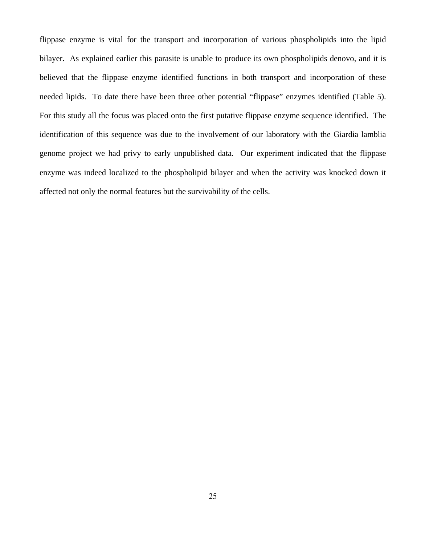flippase enzyme is vital for the transport and incorporation of various phospholipids into the lipid bilayer. As explained earlier this parasite is unable to produce its own phospholipids denovo, and it is believed that the flippase enzyme identified functions in both transport and incorporation of these needed lipids. To date there have been three other potential "flippase" enzymes identified (Table 5). For this study all the focus was placed onto the first putative flippase enzyme sequence identified. The identification of this sequence was due to the involvement of our laboratory with the Giardia lamblia genome project we had privy to early unpublished data. Our experiment indicated that the flippase enzyme was indeed localized to the phospholipid bilayer and when the activity was knocked down it affected not only the normal features but the survivability of the cells.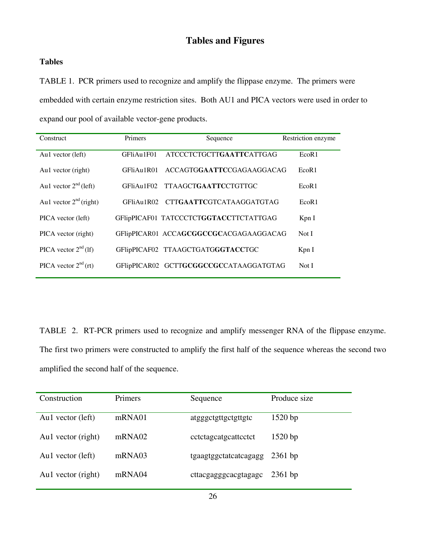# **Tables and Figures**

### **Tables**

TABLE 1. PCR primers used to recognize and amplify the flippase enzyme. The primers were embedded with certain enzyme restriction sites. Both AU1 and PICA vectors were used in order to expand our pool of available vector-gene products.

|                            | <b>Primers</b> |                                        |                    |
|----------------------------|----------------|----------------------------------------|--------------------|
| Construct                  |                | Sequence                               | Restriction enzyme |
| Au1 vector (left)          | GFliAu1F01     | <b>ATCCCTCTGCTTGAATTCATTGAG</b>        | EcoR1              |
| Au1 vector (right)         | GFliAu1R01     | ACCAGTGGAATTCCGAGAAGGACAG              | EcoR <sub>1</sub>  |
| Au1 vector $2^{nd}$ (left) | GFliAu1F02     | <b>TTAAGCTGAATTCCTGTTGC</b>            | EcoR1              |
| Au1 vector $2nd$ (right)   | GFIAu1R02      | CTT <b>GAATTC</b> GTCATAAGGATGTAG      | EcoR <sub>1</sub>  |
| PICA vector (left)         |                | GFIipPICAF01 TATCCCTCTGGTACCTTCTATTGAG | KpnI               |
| PICA vector (right)        |                | GFIipPICAR01 ACCAGCGGCCGCACGAGAAGGACAG | Not I              |
| PICA vector $2^{nd}$ (1f)  |                | GFlipPICAF02 TTAAGCTGATGGGTACCTGC      | Kpn I              |
| PICA vector $2^{nd}$ (rt)  |                | GFlipPICAR02 GCTTGCGGCCGCCATAAGGATGTAG | Not I              |
|                            |                |                                        |                    |

TABLE 2. RT-PCR primers used to recognize and amplify messenger RNA of the flippase enzyme. The first two primers were constructed to amplify the first half of the sequence whereas the second two amplified the second half of the sequence.

| Construction       | <b>Primers</b> | Sequence              | Produce size |
|--------------------|----------------|-----------------------|--------------|
| Au1 vector (left)  | mRNA01         | atgggctgttgctgttgtc   | $1520$ bp    |
| Au1 vector (right) | mRNA02         | cctctagcatgcattcctct  | $1520$ bp    |
| Aul vector (left)  | mRNA03         | tgaagtggctatcatcagagg | $2361$ bp    |
| Au1 vector (right) | mRNA04         | cttacgagggcacgtagagc  | $2361$ bp    |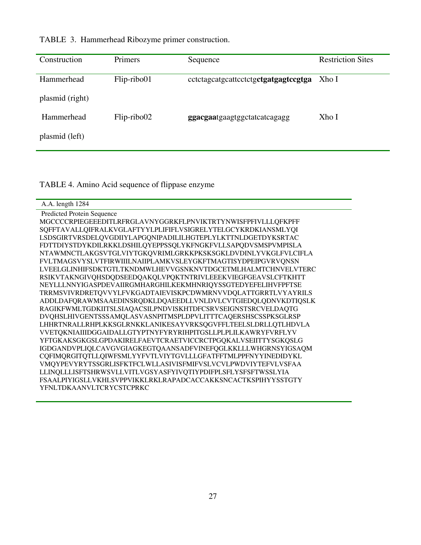| Construction    | <b>Primers</b> | Sequence                             | <b>Restriction Sites</b> |
|-----------------|----------------|--------------------------------------|--------------------------|
| Hammerhead      | Flip-ribo01    | cctctagcatgcattcctctgctgatgagtccgtga | Xho I                    |
| plasmid (right) |                |                                      |                          |
| Hammerhead      | Flip-ribo02    | ggacgaatgaagtggctatcatcagagg         | Xho I                    |
| plasmid (left)  |                |                                      |                          |

TABLE 3. Hammerhead Ribozyme primer construction.

TABLE 4. Amino Acid sequence of flippase enzyme

| A.A. length 1284                                             |
|--------------------------------------------------------------|
| Predicted Protein Sequence                                   |
| MGCCCCRPIEGEEEDITLRFRGLAVNYGGRKFLPNVIKTRTYNWISFPFIVLLLQFKPFF |
| SQFFTAVALLQIFRALKVGLAFTYYLPLIFIFLVSIGRELYTELGCYKRDKIANSMLYQI |
| LSDSGIRTVRSDELQVGDIIYLAPGQNIPADILILHGTEPLYLKTTNLDGETDYKSRTAC |
| FDTTDIYSTDYKDILRKKLDSHILQYEPPSSQLYKFNGKFVLLSAPQDVSMSPVMPISLA |
| NTAWMNCTLAKGSVTGLVIYTGKQVRIMLGRKKPKSKSGKLDVDINLYVKGLFVLCIFLA |
| FVLTMAGSVYSLVTFIRWIIILNAIIPLAMKVSLEYGKFTMAGTISYDPEIPGVRVQNSN |
| LVEELGLINHIFSDKTGTLTKNDMWLHEVVGSNKNVTDGCETMLHALMTCHNVELVTERC |
| RSIKVTAKNGIVQHSDQDSEEDQAKQLVPQKTNTRIVLEEEKVIEGFGEAVSLCFTKHTT |
| NEYLLLNNYIGASPDEVAIIRGMHARGHILKEKMHNRIQYSSGTEDYEFELIHVFPFTSE |
| TRRMSVIVRDRETQVVYLFVKGADTAIEVISKPCDWMRNVVDQLATTGRRTLVYAYRILS |
| ADDLDAFQRAWMSAAEDINSRQDKLDQAEEDLLVNLDVLCVTGIEDQLQDNVKDTIQSLK |
| RAGIKFWMLTGDKIITSLSIAQACSILPNDVISKHTDFCSRVSEIGNSTSRCVELDAQTG |
| DVQHSLHIVGENTSSSAMQLASVASNPITMSPLDPVLITTTCAQERSHSCSSPKSGLRSP |
| LHHRTNRALLRHPLKKSGLRNKKLANIKESAYVRKSQGVFFLTEELSLDRLLQTLHDVLA |
| VVETQKNIAIIIDGGAIDALLGTYPTNYFYRYRIHPITGSLLPLPLILKAWRYFVRFLYV |
| YFTGKAKSGKGSLGPDAKIRELFAEVTCRAETVICCRCTPGQKALVSEIITTYSGKQSLG |
| IGDGANDVPLIQLCAVGVGIAGKEGTQAANSADFVINEFQGLKKLLLWHGRNSYIGSAQM |
| CQFIMQRGITQTLLQIWFSMLYYFVTLVIYTGVLLLGFATFFTMLPPFNYYINEDIDYKL |
| VMQYPEVYRYTSSGRLISFKTFCLWLLASIVISFMIFVSLVCVLPWDVIYTEFVLVSFAA |
| LLINQLLLISFTSHRWSVLLVITLVGSYASFYIVQTIYPDIFPLSFLYSFSFTWSSLYIA |
| FSAALPIYIGSLLVKHLSVPPVIKKLRKLRAPADCACCAKKSNCACTKSPIHYYSSTGTY |
| YFNLTDKAANVLTCRYCSTCPRKC                                     |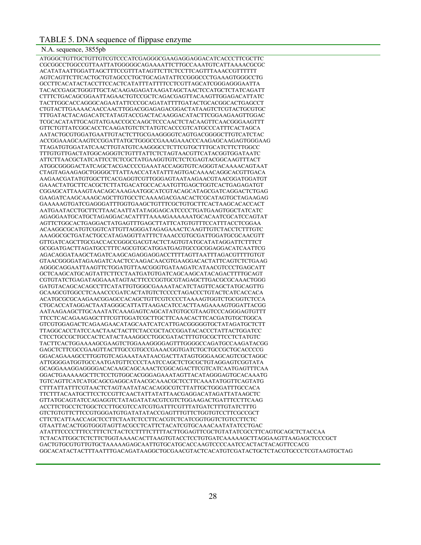#### TABLE 5. DNA sequence of flippase enzyme

N.A. sequence, 3855pb<br>ATGGGCTGTTGCTGTTGTCGTCCCATCGAGGGCGAAGAGGAGGACATCACCCTTCGCTTC CGCGGCCTGGCCGTTAATTATGGGGGCAGAAAATTCTTGCCAAATGTCATTAAAACGCGC ACATATAATTGGATTAGCTTTCCGTTTATAGTTCTTCTCCTTCAGTTTAAACCGTTTTTT AGTCAGTTCTTCACTGCTGTAGCCCTGCTGCAGATATTCCGGGCCCTGAAAGTGGGCCTG GCCTTCACATACTACCTTCCACTCATATTTATTTTCCTCGTTAGCATCGGGAGGGAATTA TACACCGAGCTGGGTTGCTACAAGAGAGATAAGATAGCTAACTCCATGCTCTATCAGATT CTTTCTGACAGCGGAATTAGAACTGTCCGCTCAGACGAGTTACAAGTTGGAGACATTATC TACTTGGCACCAGGGCAGAATATTCCCGCAGATATTTTGATACTGCACGGCACTGAGCCT CTGTACTTGAAAACAACCAACTTGGACGGAGAGACGGACTATAAGTCTCGTACTGCGTGC TTTGATACTACAGACATCTATAGTACCGACTACAAGGACATACTTCGGAAGAAGTTGGAC TCGCACATATTGCAGTATGAACCGCCAAGCTCCCAACTCTACAAGTTCAACGGGAAGTTT GTTCTGTTATCGGCACCTCAAGATGTCTCTATGTCACCCGTCATGCCCATTTCACTAGCA AATACTGCGTGGATGAATTGTACTCTTGCGAAGGGGTCAGTGACGGGGCTTGTCATCTAC ACCGGAAAGCAAGTCCGGATTATGCTGGGCCGAAAGAAACCCAAGAGCAAGAGTGGGAAG TTAGATGTGGATATCAACTTGTATGTCAAGGGCCTCTTCGTGCTTTGCATCTTCTTGGCC TTTGTGTTGACTATGGCAGGGTCTGTTTATTCTCTAGTAACGTTCATACGGTGGATAATC ATTCTTAACGCTATCATTCCTCTCGCTATGAAGGTGTCTCTCGAGTACGGCAAGTTTACT ATGGCGGGGACTATCAGCTACGACCCCGAAATACCAGGTGTCAGGGTACAAAACAGTAAT CTAGTAGAAGAGCTGGGGCTTATTAACCATATATTTAGTGACAAAACAGGCACGTTGACA AAGAACGATATGTGGCTTCACGAGGTCGTTGGGAGTAATAAGAACGTAACGGATGGATGT GAAACTATGCTTCACGCTCTTATGACATGCCACAATGTTGAGCTGGTCACTGAGAGATGT CGGAGCATTAAAGTAACAGCAAAGAATGGCATCGTACAGCATAGCGATCAGGACTCTGAG GAAGATCAAGCAAAGCAGCTTGTGCCTCAAAAGACGAACACTCGCATAGTGCTAGAAGAG GAAAAAGTGATCGAGGGATTTGGTGAAGCTGTTTCGCTGTGCTTCACTAAGCACACCACT AATGAATACCTGCTTCTTAACAATTATATAGGAGCATCCCCTGATGAAGTGGCTATCATC AGAGGAATGCATGCTAGAGGACACATTTTAAAAGAAAAAATGCACAATCGCATCCAGTAT AGTTCTGGCACTGAGGACTATGAGTTTGAGCTTATTCATGTGTTTCCATTTACCTCGGAA ACAAGGCGCATGTCGGTCATTGTTAGGGATAGAGAAACTCAAGTTGTCTACCTCTTTGTC AAAGGCGCTGATACTGCCATAGAGGTTATTTCTAAACCGTGCGATTGGATGCGCAACGTT GTTGATCAGCTTGCGACCACCGGGCGACGTACTCTAGTGTATGCATATAGGATTCTTTCT GCGGATGACTTAGATGCCTTTCAGCGTGCATGGATGAGTGCCGCGGAGGACATCAATTCG AGACAGGATAAGCTAGATCAAGCAGAGGAGGACCTTTTAGTTAATTTAGACGTTTTGTGT GTAACGGGGATAGAAGATCAACTCCAAGACAACGTGAAGGACACTATTCAGTCTCTGAAG AGGGCAGGAATTAAGTTCTGGATGTTAACGGGTGATAAGATCATAACGTCCCTGAGCATT GCTCAAGCATGCAGTATTCTTCCTAATGATGTGATCAGCAAGCATACAGACTTTTGCAGT CGTGTATCTGAGATAGGAAATAGTACTTCCCGGTGCGTAGAGCTTGACGCGCAAACTGGG GATGTACAGCACAGCCTTCATATTGTGGGCGAAAATACATCTAGTTCAGCTATGCAGTTG GCAAGCGTGGCCTCAAACCCGATCACTATGTCTCCCCTAGACCCTGTACTCATCACCACA ACATGCGCGCAAGAACGGAGCCACAGCTGTTCGTCCCCTAAAAGTGGTCTGCGGTCTCCA CTGCACCATAGGACTAATAGGGCATTATTAAGACATCCACTTAAGAAAAGTGGATTACGG AATAAGAAGCTTGCAAATATCAAAGAGTCAGCATATGTGCGTAAGTCCCAGGGAGTGTTT TTCCTCACAGAAGAGCTTTCGTTGGATCGCTTGCTTCAAACACTTCACGATGTGCTGGCA GTCGTGGAGACTCAGAAGAACATAGCAATCATCATTGACGGGGGTGCTATAGATGCTCTT TTAGGCACCTATCCAACTAACTACTTCTACCGCTACCGGATACACCCTATTACTGGATCC CTCCTGCCGCTGCCACTCATACTAAAGGCCTGGCGATACTTTGTGCGCTTCCTCTATGTC TACTTCACTGGAAAAGCGAAGTCTGGAAAGGGGAGTTTGGGGCCAGATGCCAAGATACGG GAGCTCTTCGCCGAAGTTACTTGCCGTGCCGAAACGGTGATCTGCTGCCGCTGCACCCCG GGACAGAAAGCCTTGGTGTCAGAAATAATAACGACTTATAGTGGGAAGCAGTCGCTAGGC ATTGGGGATGGTGCCAATGATGTTCCCCTAATCCAGCTCTGCGCTGTAGGAGTCGGTATA GCAGGAAAGGAGGGGACACAAGCAGCAAACTCGGCAGACTTCGTCATCAATGAGTTTCAA GGACTGAAAAAGCTTCTCCTGTGGCACGGGAGAAATAGTTACATAGGGAGTGCACAAATG TGTCAGTTCATCATGCAGCGAGGCATAACGCAAACGCTCCTTCAAATATGGTTCAGTATG CTTTATTATTTCGTAACTCTAGTAATATACACAGGCGTCTTATTGCTGGGATTTGCCACA TTCTTTACAATGCTTCCTCCGTTCAACTATTATATTAACGAGGACATAGATTATAAGCTC GTTATGCAGTATCCAGAGGTCTATAGATATACGTCGTCTGGAAGACTGATTTCCTTCAAG ACCTTCTGCCTCTGGCTCCTTGCGTCCATCGTGATTTCGTTTATGATCTTTGTATCTTTG GTCTGTGTTCTTCCGTGGGATGTGATATATACCGAGTTTGTTCTGGTGTCCTTCGCCGCT CTTCTCATTAACCAGCTCCTTCTAATCTCCTTCACGTCTCATCGGTGGTCTGTCCTTCTC GTAATTACACTGGTGGGTAGTTACGCCTCATTCTACATCGTGCAAACAATATATCCTGAC ATATTTCCCCTTTCCTTTCTCTACTCCTTTTCTTTTACTTGGAGTTCGCTGTATATCGCCTTCAGTGCAGCTCTACCAA TCTACATTGGCTCTCTTCTGGTAAAACACTTAAGTGTACCTCCTGTGATCAAAAAGCTTAGGAAGTTAAGAGCTCCCGCT GACTGTGCGTGTTGTGCTAAAAAGAGCAATTGTGCATGCACCAAGTCCCCAATCCACTACTACAGTTCCACG GGCACATACTACTTTAATTTGACAGATAAGGCTGCGAACGTACTCACATGTCGATACTGCTCTACGTGCCCTCGTAAGTGCTAG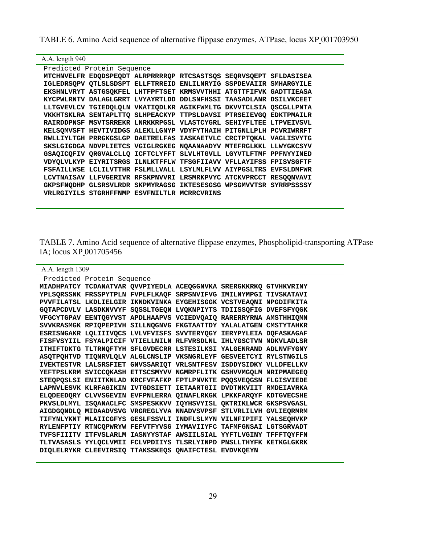TABLE 6. Amino Acid sequence of alternative flippase enzymes, ATPase, locus XP 001703950

| A.A. length 940 |                            |                                                                   |  |  |  |  |
|-----------------|----------------------------|-------------------------------------------------------------------|--|--|--|--|
|                 | Predicted Protein Sequence |                                                                   |  |  |  |  |
|                 |                            | MTCHNVELFR EDODSPEODT ALRPRRRROP RTCSASTSOS SEORVSOEPT SFLDASISEA |  |  |  |  |
|                 |                            | IGLEDRSOPV OTLSLSDSPT ELLFTRREID ENLILMRYIG SSPDEVAIIR SMHARGYILE |  |  |  |  |
|                 |                            | EKSHNLVRYT ASTGSOKFEL LHTFPFTSET KRMSVVTHHI ATGTTFIFVK GADTTIEASA |  |  |  |  |
|                 |                            | KYCPWLRNTV DALAGLGRRT LVYAYRTLDD DDLSNFHSSI TAASADLANR DSILVKCEET |  |  |  |  |
|                 |                            | LLTGVEVLCV TGIEDQLQLN VKATIQDLKR AGIKFWMLTG DKVVTCLSIA QSCGLLPNTA |  |  |  |  |
|                 |                            | VKKHTSKLRA SENTAPLTTO SLHPEACKYP TTPSLDAVSI PTRSEIEVGO EDKTPMAILR |  |  |  |  |
|                 |                            | RAIRDDPNSF MSVTSRREKR LNRKKRPGSL VLASTCYGRL SEHIYFLTEE LTPVEIVSVL |  |  |  |  |
|                 |                            | KELSOMVSFT HEVTIVIDGS ALEKLLGNYP VDYFYTHAIH PITGNLLPLH PCVRIWRRFT |  |  |  |  |
|                 |                            | RWLLIYLTGH PRRGKGSLGP DAETRELFAS IASKAETVLC CRCTPTOKAL VAGLISVYTG |  |  |  |  |
|                 |                            | SKSLGIGDGA NDVPLIETCS VGIGLRGKEG NOAANAADYV MTEFRGLKKL LLWYGKCSYV |  |  |  |  |
|                 |                            | GSAQICQFIV QRGVALCLLQ ICFTCLYFFT SLVLHTGVLL LGYVTLFTMF PPFNYYINED |  |  |  |  |
|                 |                            | VDYQLVLKYP EIYRITSRGS ILNLKTFFLW TFSGFIIAVV VFLLAYIFSS FPISVSGFTF |  |  |  |  |
|                 |                            | FSFAILLWSE LCLILVTTHR FSLMLLVALL LSYLMLFLVV AIYPGSLTRS EVFSLDMFWR |  |  |  |  |
|                 |                            | LCVTNAISAV LLFVGERIVR RFSKPNVVRI LRSMRKPVYC ATCKVPRCCT RESOONVAVI |  |  |  |  |
|                 |                            | GKPSFNODHP GLSRSVLRDR SKPMYRAGSG IKTESESGSG WPSGMVVTSR SYRRPSSSSY |  |  |  |  |
|                 |                            | VRLRGIYILS STGRHFFNMP ESVFNILTLR MCRRCVRINS                       |  |  |  |  |
|                 |                            |                                                                   |  |  |  |  |

TABLE 7. Amino Acid sequence of alternative flippase enzymes, Phospholipid-transporting ATPase IA; locus XP 001705456

the control of the control of the control of the control of the control of the control of the control of the control of the control of the control of the control of the control of the control of the control of the control

| A.A. length 1309                                                  |  |  |  |
|-------------------------------------------------------------------|--|--|--|
| Predicted Protein Sequence                                        |  |  |  |
| MIADHPATCY TCDANATVAR QVVPIYEDLA ACEQGGNVKA SRERGKKRKQ GTVHKVRINY |  |  |  |
| YPLSQRSSNK FRSSPYTPLN FVPLFLKAQF SRPSNVIFVG IMILNYMPGI TIVSKATAVI |  |  |  |
| PVVFILATSL LKDLIELGIR IKNDKVINKA EYGEHISGGK VCSTVEAQNI NPGDIFKITA |  |  |  |
| GQTAPCDVLV LASDKNVVYF SQSSLTGEQN LVQKNPIYTS TDIISSQFIG DVEFSFYQGK |  |  |  |
| VFGCYTGPAV EENTOGYVST APDLHAAPVS VCIEDVOAIO RARERRYRNA AMSTHHIOMN |  |  |  |
| SVVKRASMGK RPIQPEPIVH SILLNQGNVG FKGTAATTDY YALALATGEN CMSTYTAHKR |  |  |  |
| ESRISNGAKR LQLIIIVQCS LVLVFVISFS SVVTERYQGY IERYPYLEIA DQFASKAGAF |  |  |  |
| FISFVSYIIL FSYALPICIF VTIELLNILN RLFVRSDLNL IHLYGSCTVN NDKVLADLSR |  |  |  |
| ITHIFTDKTG TLTRNQFTYH SFLGVDECRR LSTESILKSI YALGENRAND ADLNVFYGNY |  |  |  |
| ASQTPQHTVD TIQNRVLQLV ALGLCNSLIP VKSNGRLEYF GESVEETCYI RYLSTNGILS |  |  |  |
| IVEKTESTVR LALSRSFIET GNVSSARIQT VRLSNTFESV ISDDYSIDKY VLLDFELLKV |  |  |  |
| YEFTPSLKRM SVICCQKASH ETTSCSMYVV NGMRPFLITK GSHVVMGQLM NRIPMAEGEQ |  |  |  |
| STEQPQSLSI ENIITKNLAD KRCFVFAFKP FPTLPNVKTE PQQSVEQGSN FLGISVIEDE |  |  |  |
| LAPNVLESVK KLRFAGIKIN IVTGDSIETT IETAARTGII DVDTNKVIIT RMDEIAVRKA |  |  |  |
| ELQDEEDQRY CLVVSGEVIN EVFPNLERRA QINAFLRKGK LPKKFARQYF KDTGVECSHE |  |  |  |
| PKVSLDLMYL ISQANACLFC SMSPESKKVV IQYHSVYISL QKTRIKLWCR GKSPSVGASL |  |  |  |
| AIGDGQNDLQ MIDAADVSVG VRGREGLYVA NNADVSVPSF STLVRLILVH GVLIEQRMRM |  |  |  |
| TIFYNLYKNT MLAIICGFYS GESLFSSVLI INDFLSLMYN VILNFIPIFI YALSEQHVKP |  |  |  |
| RYLENFPTIY RTNCQPWRYW FEFVTFYVSG IYMAVIIYFC TAFMFGNSAI LGTSGRVADT |  |  |  |
| TVFSFIIITV ITFVSLARLM IASNYYSTAF AWSIILSIAL YYFTLVGINY TFFFTQYFFN |  |  |  |
| TLTVASASLS YYLQCLVMII FCLVPDIIYS TLSRLYINPD PNSLLTHYFK KETKGLGKRK |  |  |  |
| DIOLELRYKR CLEEVIRSIO TTAKSSKEOS ONAIFCTESL EVDVKOEYN             |  |  |  |
|                                                                   |  |  |  |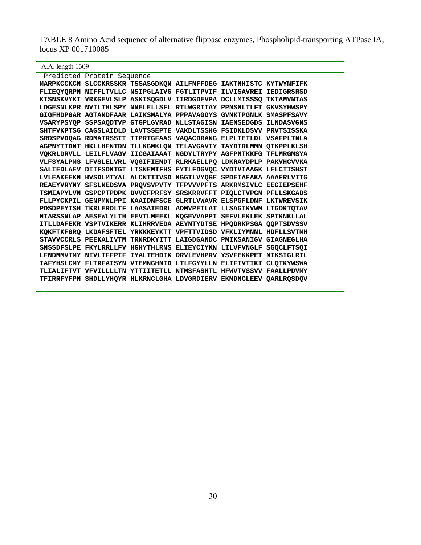TABLE 8 Amino Acid sequence of alternative flippase enzymes, Phospholipid-transporting ATPase IA; locus XP 001710085

A.A. length 1309

| Predicted Protein Sequence |                                                                   |  |
|----------------------------|-------------------------------------------------------------------|--|
|                            | MARPKCCKCN SLCCKRSSKR TSSASGDKQN AILFNFFDEG IAKTNHISTC KYTWYNFIFK |  |
|                            | FLIEQYQRPN NIFFLTVLLC NSIPGLAIVG FGTLITPVIF ILVISAVREI IEDIGRSRSD |  |
|                            | KISNSKVYKI VRKGEVLSLP ASKISQGDLV IIRDGDEVPA DCLLMISSSQ TKTAMVNTAS |  |
|                            | LDGESNLKPR NVILTHLSPY NNELELLSFL RTLWGRITAY PPNSNLTLFT GKVSYHWSPY |  |
|                            | GIGFHDPGAR AGTANDFAAR LAIKSMALYA PPPAVAGGYS GVNKTPGNLK SMASPFSAVY |  |
|                            | VSARYPSYQP SSPSAQDTVP GTGPLGVRAD NLLSTAGISN IAENSEDGDS ILNDASVGNS |  |
|                            | SHTFVKPTSG CAGSLAIDLD LAVTSSEPTE VAKDLTSSHG FSIDKLDSVV PRVTSISSKA |  |
|                            | SRDSPVDQAG RDMATRSSIT TTPRTGFAAS VAQACDRANG ELPLTETLDL VSAFPLTNLA |  |
|                            | AGPNYTTDNT HKLLHFNTDN TLLKGMKLON TELAVGAVIY TAYDTRLMMN QTKPPLKLSH |  |
|                            | VQKRLDRVLL LEILFLVAGV IICGAIAAAT NGDYLTRYPY AGFPNTKKFG TFLMRGMSYA |  |
|                            | VLFSYALPMS LFVSLELVRL VQGIFIEMDT RLRKAELLPQ LDKRAYDPLP PAKVHCVVKA |  |
|                            | SALIEDLAEV DIIFSDKTGT LTSNEMIFHS FYTLFDGVQC VYDTVIAAGK LELCTISHST |  |
|                            | LVLEAKEEKN HVSDLMTYAL ALCNTIIVSD KGGTLVYQGE SPDEIAFAKA AAAFRLVITG |  |
|                            | REAEYVRYNY SFSLNEDSVA PROVSVPVTY TFPVVVPFTS ARKRMSIVLC EEGIEPSEHF |  |
|                            | TSMIAPYLVN GSPCPTPDPK DVVCFPRFSY SRSKRRVFFT PIQLCTVPGN PFLLSKGADS |  |
|                            | FLLPYCKPIL GENPMNLPPI KAAIDNFSCE GLRTLVWAVR ELSPGFLDNF LKTWREVSIK |  |
|                            | PDSDPEYISH TKRLERDLTF LAASAIEDRL ADMVPETLAT LLSAGIKVWM LTGDKTQTAV |  |
|                            | NIARSSNLAP AESEWLYLTH EEVTLMEEKL KOGEVVAPPI SEFVLEKLEK SPTKNKLLAL |  |
|                            | ITLLDAFEKR VSPTVIKERR KLIHRRVEDA AEYNTYDTSE HPQDRKPSGA QQPTSDVSSV |  |
|                            | KQKFTKFGRQ LKDAFSFTEL YRKKKEYKTT VPFTTVIDSD VFKLIYMNNL HDFLLSVTMH |  |
|                            | STAVVCCRLS PEEKALIVTM TRNRDKYITT LAIGDGANDC PMIKSANIGV GIAGNEGLHA |  |
|                            | SNSSDFSLPE FKYLRRLLFV HGHYTHLRNS ELIEYCIYKN LILVFVNGLF SGQCLFTSQI |  |
|                            | LFNDMMVTMY NIVLTFFPIF IYALTEHDIK DRVLEVHPRV YSVFEKKPET NIKSIGLRIL |  |
|                            | IAFYHSLCMY FLTRFAISYN VTEMNGHNID LTLFGYYLLN ELIFIVTIKI CLQTKYWSWA |  |
|                            | TLIALIFTVT VFVILLLLIN YTTIITETLL NTMSFASHTL HFWVTVSSVV FAALLPDVMY |  |
|                            | TFIRRFYFPN SHDLLYHQYR HLKRNCLGHA LDVGRDIERV EKMDNCLEEV QARLRQSDQV |  |
|                            |                                                                   |  |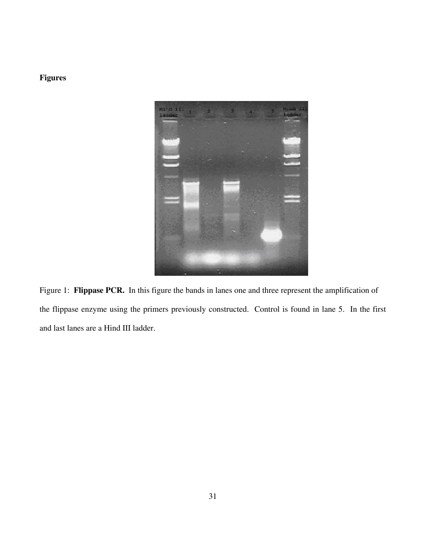# **Figures**



Figure 1: **Flippase PCR.** In this figure the bands in lanes one and three represent the amplification of the flippase enzyme using the primers previously constructed. Control is found in lane 5. In the first and last lanes are a Hind III ladder.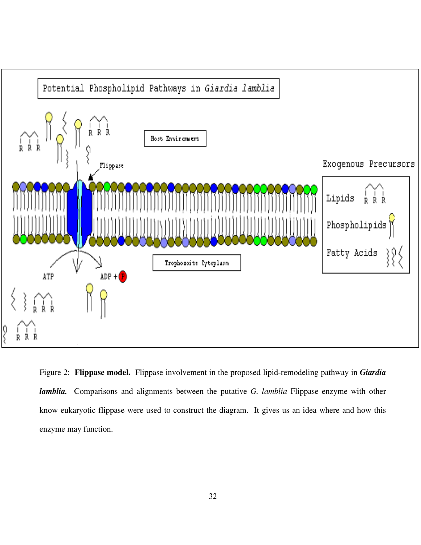

Figure 2: **Flippase model.** Flippase involvement in the proposed lipid-remodeling pathway in *Giardia lamblia.* Comparisons and alignments between the putative *G. lamblia* Flippase enzyme with other know eukaryotic flippase were used to construct the diagram. It gives us an idea where and how this enzyme may function.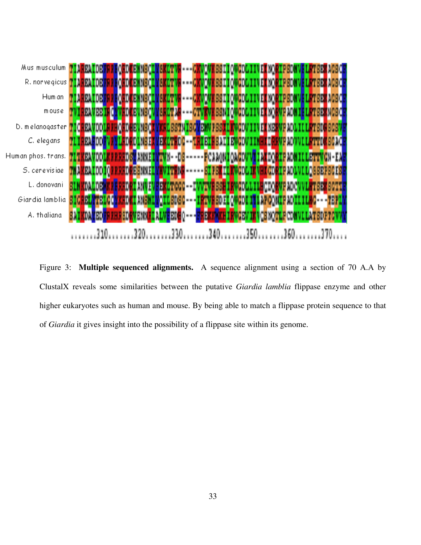

Figure 3: **Multiple sequenced alignments.** A sequence alignment using a section of 70 A.A by ClustalX reveals some similarities between the putative *Giardia lamblia* flippase enzyme and other higher eukaryotes such as human and mouse. By being able to match a flippase protein sequence to that of *Giardia* it gives insight into the possibility of a flippase site within its genome.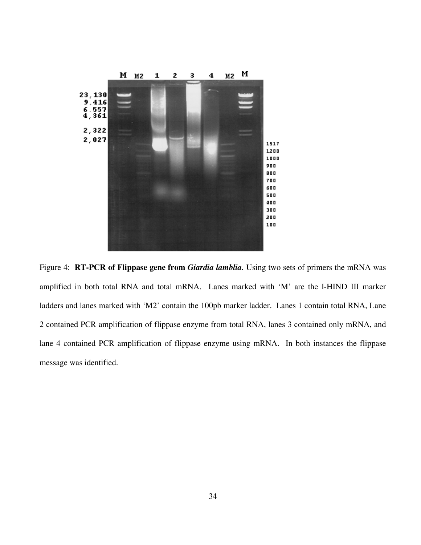

Figure 4: **RT-PCR of Flippase gene from** *Giardia lamblia.* Using two sets of primers the mRNA was amplified in both total RNA and total mRNA. Lanes marked with 'M' are the l-HIND III marker ladders and lanes marked with 'M2' contain the 100pb marker ladder. Lanes 1 contain total RNA, Lane 2 contained PCR amplification of flippase enzyme from total RNA, lanes 3 contained only mRNA, and lane 4 contained PCR amplification of flippase enzyme using mRNA. In both instances the flippase message was identified.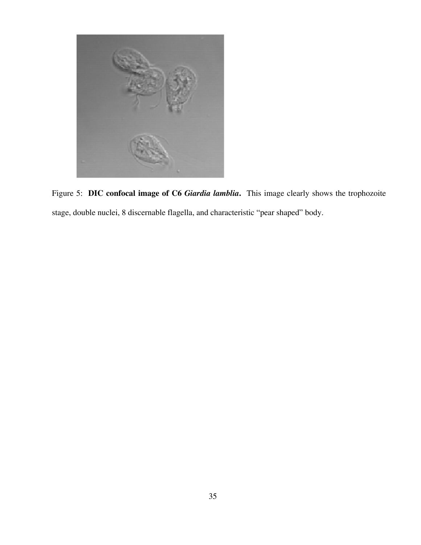

Figure 5: **DIC confocal image of C6** *Giardia lamblia***.** This image clearly shows the trophozoite stage, double nuclei, 8 discernable flagella, and characteristic "pear shaped" body.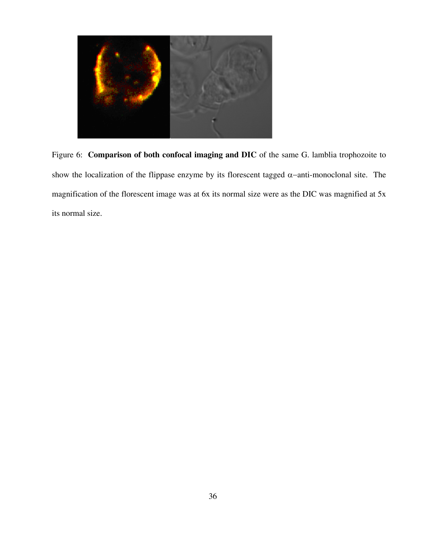

Figure 6: **Comparison of both confocal imaging and DIC** of the same G. lamblia trophozoite to show the localization of the flippase enzyme by its florescent tagged  $\alpha$ -anti-monoclonal site. The magnification of the florescent image was at 6x its normal size were as the DIC was magnified at 5x its normal size.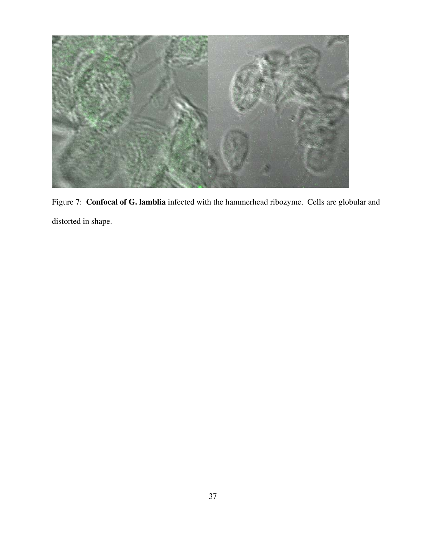

Figure 7: **Confocal of G. lamblia** infected with the hammerhead ribozyme. Cells are globular and distorted in shape.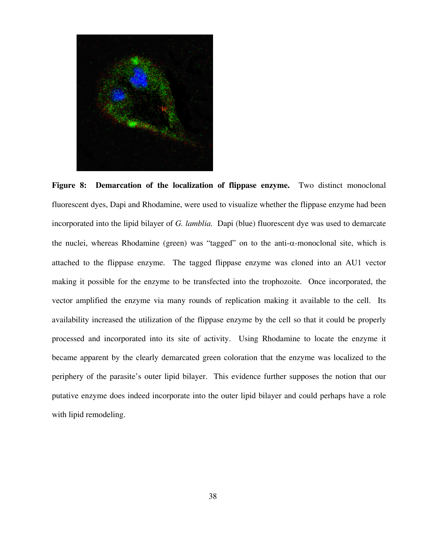

Figure 8: Demarcation of the localization of flippase enzyme. Two distinct monoclonal fluorescent dyes, Dapi and Rhodamine, were used to visualize whether the flippase enzyme had been incorporated into the lipid bilayer of *G. lamblia.* Dapi (blue) fluorescent dye was used to demarcate the nuclei, whereas Rhodamine (green) was "tagged" on to the anti- $\alpha$ -monoclonal site, which is attached to the flippase enzyme. The tagged flippase enzyme was cloned into an AU1 vector making it possible for the enzyme to be transfected into the trophozoite. Once incorporated, the vector amplified the enzyme via many rounds of replication making it available to the cell. Its availability increased the utilization of the flippase enzyme by the cell so that it could be properly processed and incorporated into its site of activity. Using Rhodamine to locate the enzyme it became apparent by the clearly demarcated green coloration that the enzyme was localized to the periphery of the parasite's outer lipid bilayer. This evidence further supposes the notion that our putative enzyme does indeed incorporate into the outer lipid bilayer and could perhaps have a role with lipid remodeling.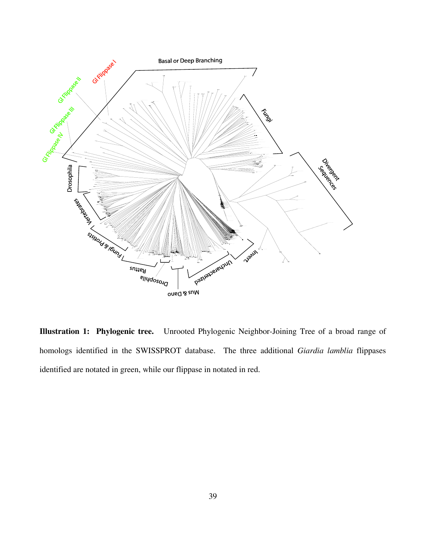

**Illustration 1: Phylogenic tree.** Unrooted Phylogenic Neighbor-Joining Tree of a broad range of homologs identified in the SWISSPROT database. The three additional *Giardia lamblia* flippases identified are notated in green, while our flippase in notated in red.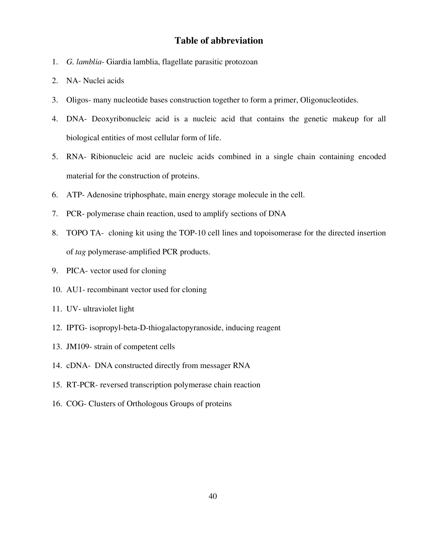### **Table of abbreviation**

- 1. *G. lamblia* Giardia lamblia, flagellate parasitic protozoan
- 2. NA- Nuclei acids
- 3. Oligos- many nucleotide bases construction together to form a primer, Oligonucleotides.
- 4. DNA- Deoxyribonucleic acid is a nucleic acid that contains the genetic makeup for all biological entities of most cellular form of life.
- 5. RNA- Ribionucleic acid are nucleic acids combined in a single chain containing encoded material for the construction of proteins.
- 6. ATP- Adenosine triphosphate, main energy storage molecule in the cell.
- 7. PCR- polymerase chain reaction, used to amplify sections of DNA
- 8. TOPO TA- cloning kit using the TOP-10 cell lines and topoisomerase for the directed insertion of *tag* polymerase-amplified PCR products.
- 9. PICA- vector used for cloning
- 10. AU1- recombinant vector used for cloning
- 11. UV- ultraviolet light
- 12. IPTG- isopropyl-beta-D-thiogalactopyranoside, inducing reagent
- 13. JM109- strain of competent cells
- 14. cDNA- DNA constructed directly from messager RNA
- 15. RT-PCR- reversed transcription polymerase chain reaction
- 16. COG- Clusters of Orthologous Groups of proteins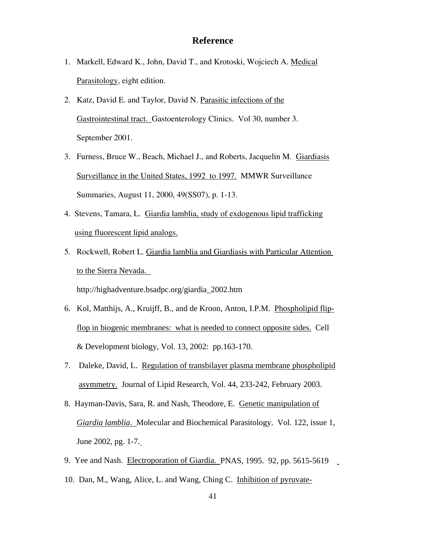#### **Reference**

- 1. Markell, Edward K., John, David T., and Krotoski, Wojciech A. Medical Parasitology, eight edition.
- 2. Katz, David E. and Taylor, David N. Parasitic infections of the Gastrointestinal tract. Gastoenterology Clinics. Vol 30, number 3. September 2001.
- 3. Furness, Bruce W., Beach, Michael J., and Roberts, Jacquelin M. Giardiasis Surveillance in the United States, 1992 to 1997. MMWR Surveillance Summaries, August 11, 2000, 49(SS07), p. 1-13.
- 4. Stevens, Tamara, L. Giardia lamblia, study of exdogenous lipid trafficking using fluorescent lipid analogs.
- 5. Rockwell, Robert L. Giardia lamblia and Giardiasis with Particular Attention to the Sierra Nevada.

http://highadventure.bsadpc.org/giardia\_2002.htm

- 6. Kol, Matthijs, A., Kruijff, B., and de Kroon, Anton, I.P.M. Phospholipid flip flop in biogenic membranes: what is needed to connect opposite sides. Cell & Development biology, Vol. 13, 2002: pp.163-170.
- 7. Daleke, David, L. Regulation of transbilayer plasma membrane phospholipid asymmetry. Journal of Lipid Research, Vol. 44, 233-242, February 2003.
- 8. Hayman-Davis, Sara, R. and Nash, Theodore, E. Genetic manipulation of *Giardia lamblia*. Molecular and Biochemical Parasitology. Vol. 122, issue 1, June 2002, pg. 1-7.
- 9. Yee and Nash. Electroporation of Giardia. PNAS, 1995. 92, pp. 5615-5619
- 10. Dan, M., Wang, Alice, L. and Wang, Ching C. Inhibition of pyruvate-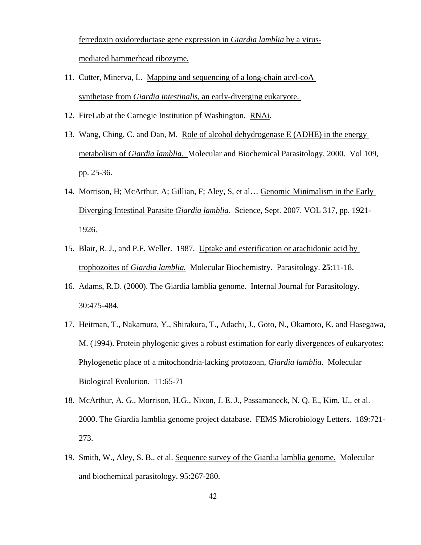ferredoxin oxidoreductase gene expression in *Giardia lamblia* by a virus mediated hammerhead ribozyme.

- 11. Cutter, Minerva, L. Mapping and sequencing of a long-chain acyl-coA synthetase from *Giardia intestinalis*, an early-diverging eukaryote.
- 12. FireLab at the Carnegie Institution pf Washington. RNAi.
- 13. Wang, Ching, C. and Dan, M. Role of alcohol dehydrogenase E (ADHE) in the energy metabolism of *Giardia lamblia*. Molecular and Biochemical Parasitology, 2000. Vol 109, pp. 25-36.
- 14. Morrison, H; McArthur, A; Gillian, F; Aley, S, et al… Genomic Minimalism in the Early Diverging Intestinal Parasite *Giardia lamblia*. Science, Sept. 2007. VOL 317, pp. 1921- 1926.
- 15. Blair, R. J., and P.F. Weller. 1987. Uptake and esterification or arachidonic acid by trophozoites of *Giardia lamblia.* Molecular Biochemistry. Parasitology. **25**:11-18.
- 16. Adams, R.D. (2000). The Giardia lamblia genome. Internal Journal for Parasitology. 30:475-484.
- 17. Heitman, T., Nakamura, Y., Shirakura, T., Adachi, J., Goto, N., Okamoto, K. and Hasegawa, M. (1994). Protein phylogenic gives a robust estimation for early divergences of eukaryotes: Phylogenetic place of a mitochondria-lacking protozoan, *Giardia lamblia*. Molecular Biological Evolution. 11:65-71
- 18. McArthur, A. G., Morrison, H.G., Nixon, J. E. J., Passamaneck, N. Q. E., Kim, U., et al. 2000. The Giardia lamblia genome project database. FEMS Microbiology Letters. 189:721- 273.
- 19. Smith, W., Aley, S. B., et al. Sequence survey of the Giardia lamblia genome. Molecular and biochemical parasitology. 95:267-280.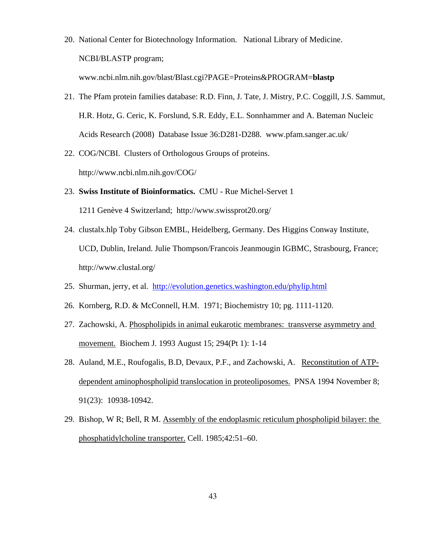20. National Center for Biotechnology Information. National Library of Medicine. NCBI/BLASTP program;

www.ncbi.nlm.nih.gov/blast/Blast.cgi?PAGE=Proteins&PROGRAM=**blastp**

- 21. The Pfam protein families database: R.D. Finn, J. Tate, J. Mistry, P.C. Coggill, J.S. Sammut, H.R. Hotz, G. Ceric, K. Forslund, S.R. Eddy, E.L. Sonnhammer and A. Bateman Nucleic Acids Research (2008) Database Issue 36:D281-D288. www.pfam.sanger.ac.uk/
- 22. COG/NCBI. Clusters of Orthologous Groups of proteins. http://www.ncbi.nlm.nih.gov/COG/
- 23. **Swiss Institute of Bioinformatics.** CMU Rue Michel-Servet 1 1211 Genève 4 Switzerland; http://www.swissprot20.org/
- 24. clustalx.hlp Toby Gibson EMBL, Heidelberg, Germany. Des Higgins Conway Institute, UCD, Dublin, Ireland. Julie Thompson/Francois Jeanmougin IGBMC, Strasbourg, France; http://www.clustal.org/
- 25. Shurman, jerry, et al. http://evolution.genetics.washington.edu/phylip.html
- 26. Kornberg, R.D. & McConnell, H.M. 1971; Biochemistry 10; pg. 1111-1120.
- 27. Zachowski, A. Phospholipids in animal eukarotic membranes: transverse asymmetry and movement. Biochem J. 1993 August 15; 294(Pt 1): 1-14
- 28. Auland, M.E., Roufogalis, B.D, Devaux, P.F., and Zachowski, A. Reconstitution of ATPdependent aminophospholipid translocation in proteoliposomes. PNSA 1994 November 8; 91(23): 10938-10942.
- 29. Bishop, W R; Bell, R M. Assembly of the endoplasmic reticulum phospholipid bilayer: the phosphatidylcholine transporter. Cell. 1985;42:51–60.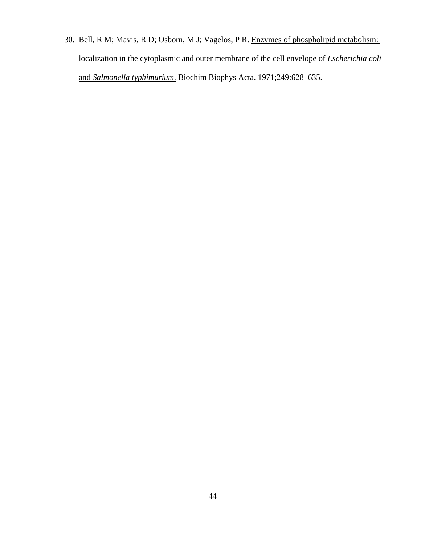30. Bell, R M; Mavis, R D; Osborn, M J; Vagelos, P R. Enzymes of phospholipid metabolism: localization in the cytoplasmic and outer membrane of the cell envelope of *Escherichia coli* and *Salmonella typhimurium*. Biochim Biophys Acta. 1971;249:628–635.